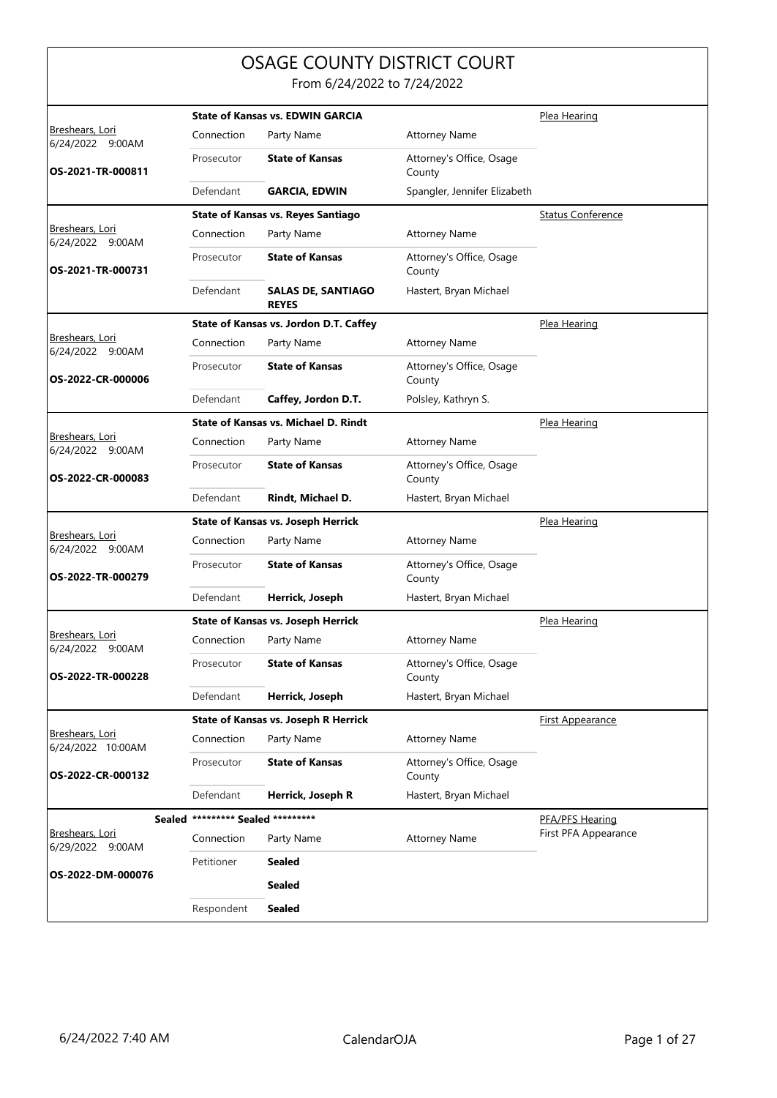## OSAGE COUNTY DISTRICT COURT

From 6/24/2022 to 7/24/2022

|                                            |                                   | <b>State of Kansas vs. EDWIN GARCIA</b>   |                                    | Plea Hearing             |
|--------------------------------------------|-----------------------------------|-------------------------------------------|------------------------------------|--------------------------|
| <u>Breshears, Lori</u><br>6/24/2022 9:00AM | Connection                        | Party Name                                | <b>Attorney Name</b>               |                          |
| OS-2021-TR-000811                          | Prosecutor                        | <b>State of Kansas</b>                    | Attorney's Office, Osage<br>County |                          |
|                                            | Defendant                         | <b>GARCIA, EDWIN</b>                      | Spangler, Jennifer Elizabeth       |                          |
|                                            |                                   | <b>State of Kansas vs. Reyes Santiago</b> |                                    | <b>Status Conference</b> |
| <u>Breshears, Lori</u><br>6/24/2022 9:00AM | Connection                        | Party Name                                | <b>Attorney Name</b>               |                          |
| OS-2021-TR-000731                          | Prosecutor                        | <b>State of Kansas</b>                    | Attorney's Office, Osage<br>County |                          |
|                                            | Defendant                         | <b>SALAS DE, SANTIAGO</b><br><b>REYES</b> | Hastert, Bryan Michael             |                          |
|                                            |                                   | State of Kansas vs. Jordon D.T. Caffey    |                                    | Plea Hearing             |
| <b>Breshears, Lori</b><br>6/24/2022 9:00AM | Connection                        | Party Name                                | <b>Attorney Name</b>               |                          |
| OS-2022-CR-000006                          | Prosecutor                        | <b>State of Kansas</b>                    | Attorney's Office, Osage<br>County |                          |
|                                            | Defendant                         | Caffey, Jordon D.T.                       | Polsley, Kathryn S.                |                          |
|                                            |                                   | State of Kansas vs. Michael D. Rindt      |                                    | Plea Hearing             |
| Breshears, Lori<br>6/24/2022 9:00AM        | Connection                        | Party Name                                | <b>Attorney Name</b>               |                          |
| OS-2022-CR-000083                          | Prosecutor                        | <b>State of Kansas</b>                    | Attorney's Office, Osage<br>County |                          |
|                                            | Defendant                         | Rindt, Michael D.                         | Hastert, Bryan Michael             |                          |
|                                            |                                   | <b>State of Kansas vs. Joseph Herrick</b> |                                    | Plea Hearing             |
| Breshears, Lori<br>6/24/2022 9:00AM        | Connection                        | Party Name                                | <b>Attorney Name</b>               |                          |
| OS-2022-TR-000279                          | Prosecutor                        | <b>State of Kansas</b>                    | Attorney's Office, Osage<br>County |                          |
|                                            | Defendant                         | Herrick, Joseph                           | Hastert, Bryan Michael             |                          |
|                                            |                                   | <b>State of Kansas vs. Joseph Herrick</b> |                                    | Plea Hearing             |
| <b>Breshears, Lori</b><br>6/24/2022 9:00AM | Connection                        | Party Name                                | <b>Attorney Name</b>               |                          |
| OS-2022-TR-000228                          | Prosecutor                        | <b>State of Kansas</b>                    | Attorney's Office, Osage<br>County |                          |
|                                            | Defendant                         | Herrick, Joseph                           | Hastert, Bryan Michael             |                          |
|                                            |                                   | State of Kansas vs. Joseph R Herrick      |                                    | <b>First Appearance</b>  |
| Breshears, Lori<br>6/24/2022 10:00AM       | Connection                        | Party Name                                | <b>Attorney Name</b>               |                          |
| OS-2022-CR-000132                          | Prosecutor                        | <b>State of Kansas</b>                    | Attorney's Office, Osage<br>County |                          |
|                                            | Defendant                         | Herrick, Joseph R                         | Hastert, Bryan Michael             |                          |
|                                            | Sealed ********* Sealed ********* |                                           |                                    | PFA/PFS Hearing          |
| Breshears, Lori<br>6/29/2022 9:00AM        | Connection                        | Party Name                                | <b>Attorney Name</b>               | First PFA Appearance     |
|                                            | Petitioner                        | <b>Sealed</b>                             |                                    |                          |
| OS-2022-DM-000076                          |                                   | <b>Sealed</b>                             |                                    |                          |
|                                            | Respondent                        | <b>Sealed</b>                             |                                    |                          |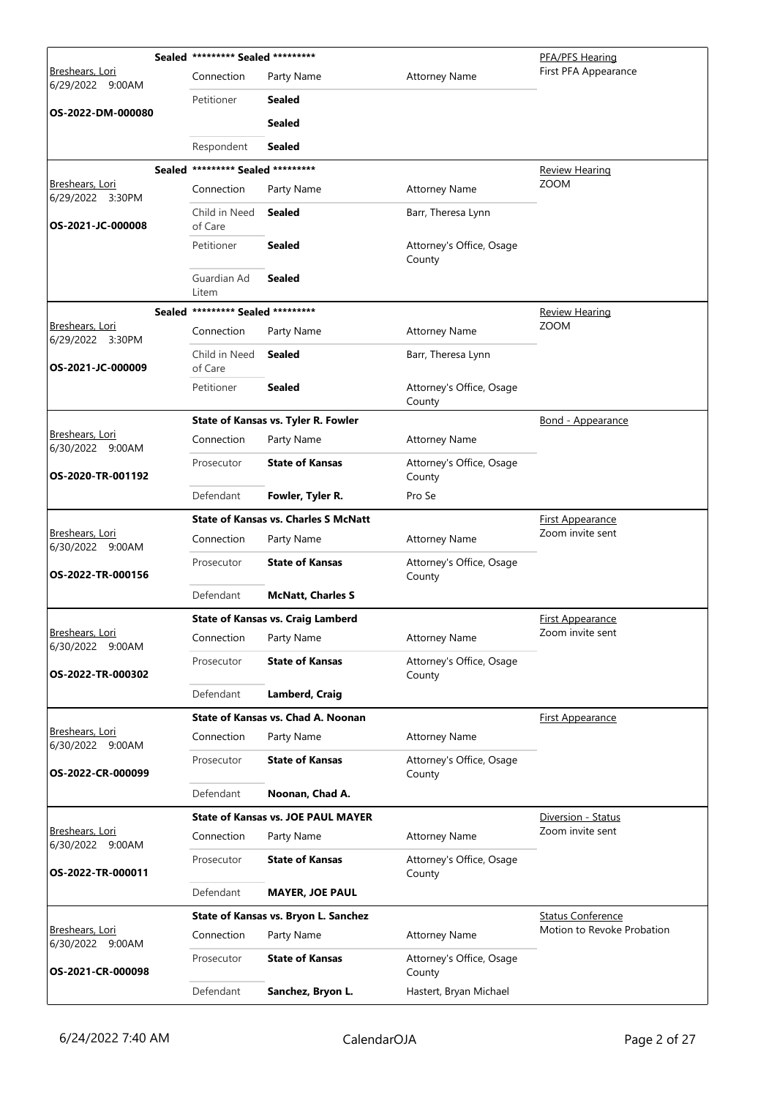|                                            |        | Sealed ********* Sealed ********* |                                             |                                    | PFA/PFS Hearing            |
|--------------------------------------------|--------|-----------------------------------|---------------------------------------------|------------------------------------|----------------------------|
| <u>Breshears, Lori</u><br>6/29/2022 9:00AM |        | Connection                        | Party Name                                  | <b>Attorney Name</b>               | First PFA Appearance       |
|                                            |        | Petitioner                        | Sealed                                      |                                    |                            |
| OS-2022-DM-000080                          |        |                                   | Sealed                                      |                                    |                            |
|                                            |        | Respondent                        | Sealed                                      |                                    |                            |
|                                            | Sealed | ********* Sealed *********        |                                             |                                    | <u>Review Hearing</u>      |
| <b>Breshears, Lori</b><br>6/29/2022 3:30PM |        | Connection                        | Party Name                                  | <b>Attorney Name</b>               | <b>ZOOM</b>                |
| OS-2021-JC-000008                          |        | Child in Need<br>of Care          | <b>Sealed</b>                               | Barr, Theresa Lynn                 |                            |
|                                            |        | Petitioner                        | Sealed                                      | Attorney's Office, Osage<br>County |                            |
|                                            |        | Guardian Ad<br>Litem              | <b>Sealed</b>                               |                                    |                            |
|                                            |        | Sealed ********* Sealed ********* |                                             |                                    | <b>Review Hearing</b>      |
| Breshears, Lori<br>6/29/2022 3:30PM        |        | Connection                        | Party Name                                  | <b>Attorney Name</b>               | <b>ZOOM</b>                |
| OS-2021-JC-000009                          |        | Child in Need<br>of Care          | <b>Sealed</b>                               | Barr, Theresa Lynn                 |                            |
|                                            |        | Petitioner                        | Sealed                                      | Attorney's Office, Osage<br>County |                            |
|                                            |        |                                   | State of Kansas vs. Tyler R. Fowler         |                                    | Bond - Appearance          |
| <u>Breshears, Lori</u><br>6/30/2022 9:00AM |        | Connection                        | Party Name                                  | <b>Attorney Name</b>               |                            |
| OS-2020-TR-001192                          |        | Prosecutor                        | <b>State of Kansas</b>                      | Attorney's Office, Osage<br>County |                            |
|                                            |        | Defendant                         | Fowler, Tyler R.                            | Pro Se                             |                            |
|                                            |        |                                   | <b>State of Kansas vs. Charles S McNatt</b> |                                    | <b>First Appearance</b>    |
| Breshears, Lori<br>6/30/2022 9:00AM        |        | Connection                        | Party Name                                  | <b>Attorney Name</b>               | Zoom invite sent           |
| OS-2022-TR-000156                          |        | Prosecutor                        | <b>State of Kansas</b>                      | Attorney's Office, Osage<br>County |                            |
|                                            |        | Defendant                         | <b>McNatt, Charles S</b>                    |                                    |                            |
|                                            |        |                                   | <b>State of Kansas vs. Craig Lamberd</b>    |                                    | <b>First Appearance</b>    |
| Breshears, Lori<br>6/30/2022 9:00AM        |        | Connection                        | Party Name                                  | <b>Attorney Name</b>               | Zoom invite sent           |
| OS-2022-TR-000302                          |        | Prosecutor                        | <b>State of Kansas</b>                      | Attorney's Office, Osage<br>County |                            |
|                                            |        | Defendant                         | <b>Lamberd, Craig</b>                       |                                    |                            |
|                                            |        |                                   | State of Kansas vs. Chad A. Noonan          |                                    | First Appearance           |
| Breshears, Lori<br>6/30/2022 9:00AM        |        | Connection                        | Party Name                                  | <b>Attorney Name</b>               |                            |
| OS-2022-CR-000099                          |        | Prosecutor                        | <b>State of Kansas</b>                      | Attorney's Office, Osage<br>County |                            |
|                                            |        | Defendant                         | Noonan, Chad A.                             |                                    |                            |
|                                            |        |                                   | <b>State of Kansas vs. JOE PAUL MAYER</b>   |                                    | Diversion - Status         |
| Breshears, Lori<br>6/30/2022 9:00AM        |        | Connection                        | Party Name                                  | <b>Attorney Name</b>               | Zoom invite sent           |
| OS-2022-TR-000011                          |        | Prosecutor                        | <b>State of Kansas</b>                      | Attorney's Office, Osage<br>County |                            |
|                                            |        | Defendant                         | <b>MAYER, JOE PAUL</b>                      |                                    |                            |
|                                            |        |                                   | State of Kansas vs. Bryon L. Sanchez        |                                    | <b>Status Conference</b>   |
| Breshears, Lori<br>6/30/2022 9:00AM        |        | Connection                        | Party Name                                  | <b>Attorney Name</b>               | Motion to Revoke Probation |
| OS-2021-CR-000098                          |        | Prosecutor                        | <b>State of Kansas</b>                      | Attorney's Office, Osage<br>County |                            |
|                                            |        | Defendant                         | Sanchez, Bryon L.                           | Hastert, Bryan Michael             |                            |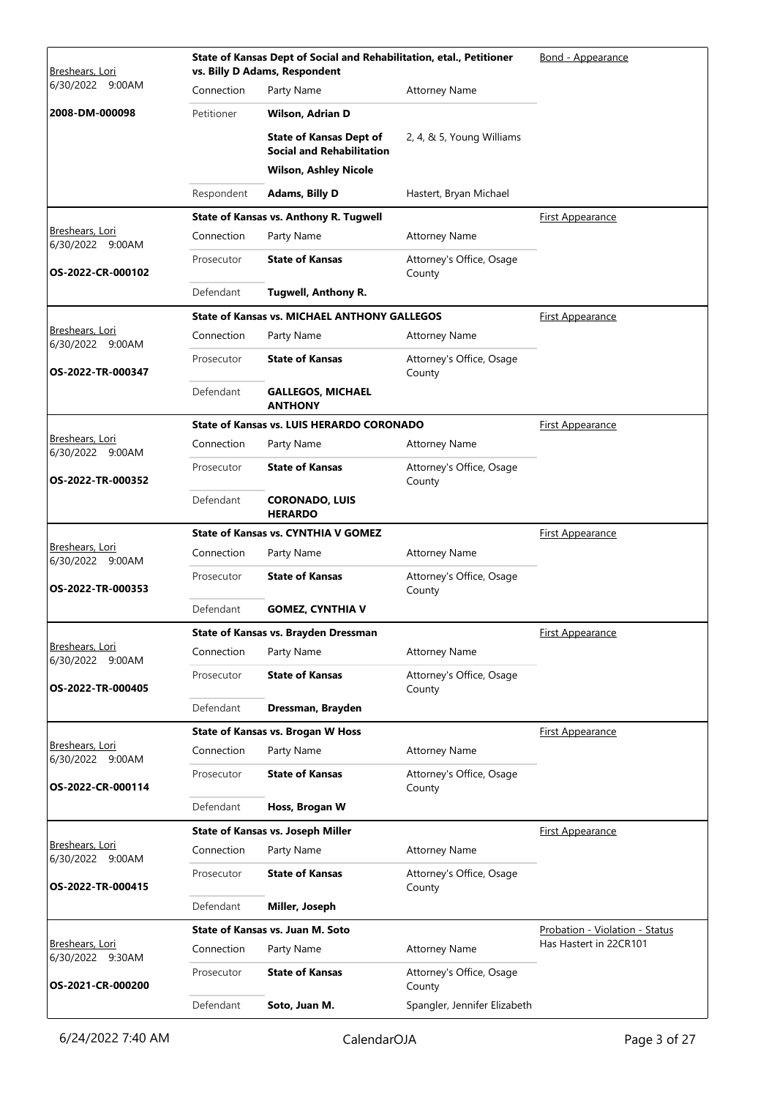| Breshears, Lori                            |            | State of Kansas Dept of Social and Rehabilitation, etal., Petitioner<br>vs. Billy D Adams, Respondent | Bond - Appearance                  |                                |
|--------------------------------------------|------------|-------------------------------------------------------------------------------------------------------|------------------------------------|--------------------------------|
| 6/30/2022 9:00AM                           | Connection | Party Name                                                                                            | <b>Attorney Name</b>               |                                |
| 2008-DM-000098                             | Petitioner | Wilson, Adrian D                                                                                      |                                    |                                |
|                                            |            | <b>State of Kansas Dept of</b><br><b>Social and Rehabilitation</b>                                    | 2, 4, & 5, Young Williams          |                                |
|                                            |            | <b>Wilson, Ashley Nicole</b>                                                                          |                                    |                                |
|                                            | Respondent | <b>Adams, Billy D</b>                                                                                 | Hastert, Bryan Michael             |                                |
|                                            |            | State of Kansas vs. Anthony R. Tugwell                                                                |                                    | First Appearance               |
| <u>Breshears, Lori</u><br>6/30/2022 9:00AM | Connection | Party Name                                                                                            | <b>Attorney Name</b>               |                                |
| OS-2022-CR-000102                          | Prosecutor | <b>State of Kansas</b>                                                                                | Attorney's Office, Osage<br>County |                                |
|                                            | Defendant  | <b>Tugwell, Anthony R.</b>                                                                            |                                    |                                |
|                                            |            | <b>State of Kansas vs. MICHAEL ANTHONY GALLEGOS</b>                                                   |                                    | First Appearance               |
| Breshears, Lori<br>6/30/2022 9:00AM        | Connection | Party Name                                                                                            | Attorney Name                      |                                |
| OS-2022-TR-000347                          | Prosecutor | <b>State of Kansas</b>                                                                                | Attorney's Office, Osage<br>County |                                |
|                                            | Defendant  | <b>GALLEGOS, MICHAEL</b><br><b>ANTHONY</b>                                                            |                                    |                                |
|                                            |            | <b>State of Kansas vs. LUIS HERARDO CORONADO</b>                                                      |                                    | First Appearance               |
| Breshears, Lori<br>6/30/2022 9:00AM        | Connection | Party Name                                                                                            | <b>Attorney Name</b>               |                                |
| OS-2022-TR-000352                          | Prosecutor | <b>State of Kansas</b>                                                                                | Attorney's Office, Osage<br>County |                                |
|                                            | Defendant  | <b>CORONADO, LUIS</b><br><b>HERARDO</b>                                                               |                                    |                                |
|                                            |            | <b>State of Kansas vs. CYNTHIA V GOMEZ</b>                                                            |                                    | <b>First Appearance</b>        |
| Breshears, Lori<br>6/30/2022 9:00AM        | Connection | Party Name                                                                                            | <b>Attorney Name</b>               |                                |
| OS-2022-TR-000353                          | Prosecutor | <b>State of Kansas</b>                                                                                | Attorney's Office, Osage<br>County |                                |
|                                            | Defendant  | <b>GOMEZ, CYNTHIA V</b>                                                                               |                                    |                                |
|                                            |            | State of Kansas vs. Brayden Dressman                                                                  |                                    | <b>First Appearance</b>        |
| Breshears, Lori<br>6/30/2022 9:00AM        | Connection | Party Name                                                                                            | <b>Attorney Name</b>               |                                |
| OS-2022-TR-000405                          | Prosecutor | <b>State of Kansas</b>                                                                                | Attorney's Office, Osage<br>County |                                |
|                                            | Defendant  | Dressman, Brayden                                                                                     |                                    |                                |
|                                            |            | <b>State of Kansas vs. Brogan W Hoss</b>                                                              |                                    | <b>First Appearance</b>        |
| Breshears, Lori<br>6/30/2022 9:00AM        | Connection | Party Name                                                                                            | <b>Attorney Name</b>               |                                |
| OS-2022-CR-000114                          | Prosecutor | <b>State of Kansas</b>                                                                                | Attorney's Office, Osage<br>County |                                |
|                                            | Defendant  | Hoss, Brogan W                                                                                        |                                    |                                |
|                                            |            | <b>State of Kansas vs. Joseph Miller</b>                                                              |                                    | <b>First Appearance</b>        |
| Breshears, Lori<br>6/30/2022 9:00AM        | Connection | Party Name                                                                                            | <b>Attorney Name</b>               |                                |
| OS-2022-TR-000415                          | Prosecutor | <b>State of Kansas</b>                                                                                | Attorney's Office, Osage<br>County |                                |
|                                            | Defendant  | Miller, Joseph                                                                                        |                                    |                                |
|                                            |            | State of Kansas vs. Juan M. Soto                                                                      |                                    | Probation - Violation - Status |
| Breshears, Lori<br>6/30/2022 9:30AM        | Connection | Party Name                                                                                            | <b>Attorney Name</b>               | Has Hastert in 22CR101         |
| OS-2021-CR-000200                          | Prosecutor | <b>State of Kansas</b>                                                                                | Attorney's Office, Osage<br>County |                                |
|                                            | Defendant  | Soto, Juan M.                                                                                         | Spangler, Jennifer Elizabeth       |                                |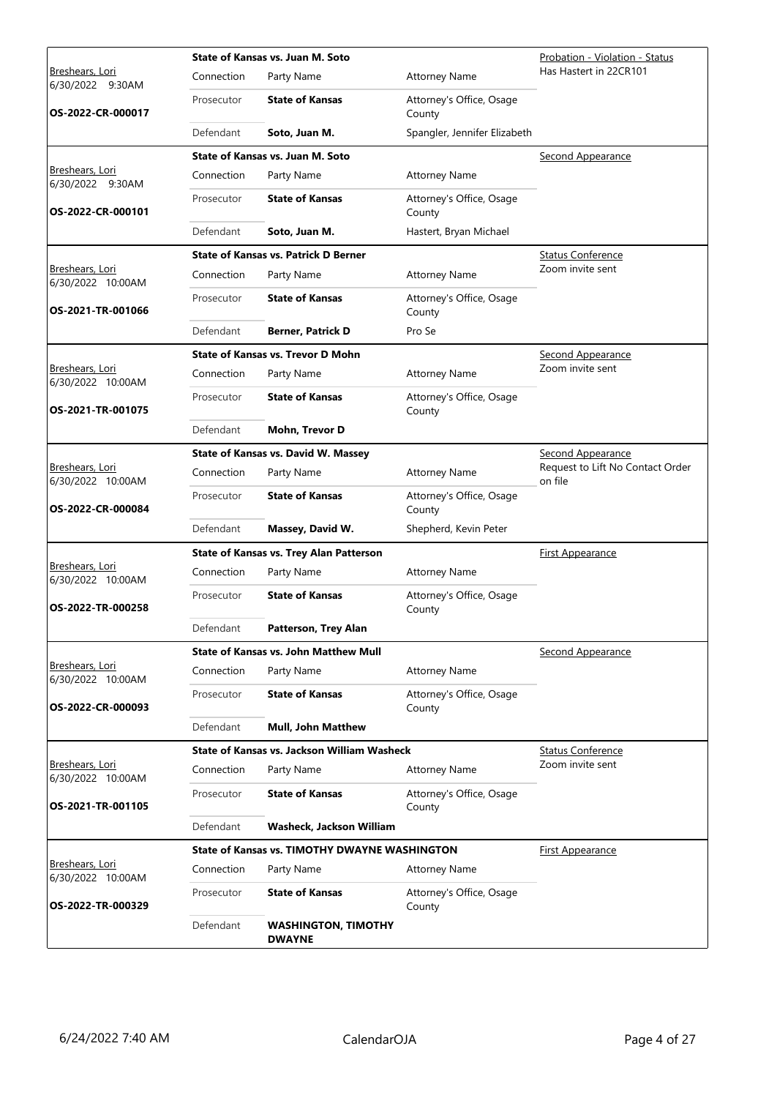|                                             |            | State of Kansas vs. Juan M. Soto               | Probation - Violation - Status     |                                             |
|---------------------------------------------|------------|------------------------------------------------|------------------------------------|---------------------------------------------|
| Breshears, Lori<br>6/30/2022 9:30AM         | Connection | Party Name                                     | <b>Attorney Name</b>               | Has Hastert in 22CR101                      |
| OS-2022-CR-000017                           | Prosecutor | <b>State of Kansas</b>                         | Attorney's Office, Osage<br>County |                                             |
|                                             | Defendant  | Soto, Juan M.                                  | Spangler, Jennifer Elizabeth       |                                             |
|                                             |            | State of Kansas vs. Juan M. Soto               |                                    | Second Appearance                           |
| Breshears, Lori<br>6/30/2022 9:30AM         | Connection | Party Name                                     | <b>Attorney Name</b>               |                                             |
| OS-2022-CR-000101                           | Prosecutor | <b>State of Kansas</b>                         | Attorney's Office, Osage<br>County |                                             |
|                                             | Defendant  | Soto, Juan M.                                  | Hastert, Bryan Michael             |                                             |
|                                             |            | <b>State of Kansas vs. Patrick D Berner</b>    |                                    | <b>Status Conference</b>                    |
| Breshears, Lori<br>6/30/2022 10:00AM        | Connection | Party Name                                     | <b>Attorney Name</b>               | Zoom invite sent                            |
| OS-2021-TR-001066                           | Prosecutor | <b>State of Kansas</b>                         | Attorney's Office, Osage<br>County |                                             |
|                                             | Defendant  | <b>Berner, Patrick D</b>                       | Pro Se                             |                                             |
|                                             |            | State of Kansas vs. Trevor D Mohn              |                                    | Second Appearance                           |
| Breshears, Lori<br>6/30/2022 10:00AM        | Connection | Party Name                                     | <b>Attorney Name</b>               | Zoom invite sent                            |
| OS-2021-TR-001075                           | Prosecutor | <b>State of Kansas</b>                         | Attorney's Office, Osage<br>County |                                             |
|                                             | Defendant  | Mohn, Trevor D                                 |                                    |                                             |
|                                             |            | <b>State of Kansas vs. David W. Massey</b>     |                                    | <b>Second Appearance</b>                    |
| Breshears, Lori<br>6/30/2022 10:00AM        | Connection | Party Name                                     | <b>Attorney Name</b>               | Request to Lift No Contact Order<br>on file |
| OS-2022-CR-000084                           | Prosecutor | <b>State of Kansas</b>                         | Attorney's Office, Osage<br>County |                                             |
|                                             | Defendant  | Massey, David W.                               | Shepherd, Kevin Peter              |                                             |
|                                             |            | <b>State of Kansas vs. Trey Alan Patterson</b> |                                    | First Appearance                            |
| Breshears, Lori<br>6/30/2022 10:00AM        | Connection | Party Name                                     | <b>Attorney Name</b>               |                                             |
| OS-2022-TR-000258                           | Prosecutor | <b>State of Kansas</b>                         | Attorney's Office, Osage<br>County |                                             |
|                                             | Defendant  | Patterson, Trey Alan                           |                                    |                                             |
|                                             |            | <b>State of Kansas vs. John Matthew Mull</b>   |                                    | Second Appearance                           |
| Breshears, Lori<br>6/30/2022 10:00AM        | Connection | Party Name                                     | <b>Attorney Name</b>               |                                             |
| OS-2022-CR-000093                           | Prosecutor | <b>State of Kansas</b>                         | Attorney's Office, Osage<br>County |                                             |
|                                             | Defendant  | <b>Mull, John Matthew</b>                      |                                    |                                             |
|                                             |            | State of Kansas vs. Jackson William Washeck    |                                    | <b>Status Conference</b>                    |
| Breshears, Lori<br>6/30/2022 10:00AM        | Connection | Party Name                                     | <b>Attorney Name</b>               | Zoom invite sent                            |
| OS-2021-TR-001105                           | Prosecutor | <b>State of Kansas</b>                         | Attorney's Office, Osage<br>County |                                             |
|                                             | Defendant  | Washeck, Jackson William                       |                                    |                                             |
|                                             |            | State of Kansas vs. TIMOTHY DWAYNE WASHINGTON  |                                    | <u>First Appearance</u>                     |
| <u>Breshears, Lori</u><br>6/30/2022 10:00AM | Connection | Party Name                                     | <b>Attorney Name</b>               |                                             |
| OS-2022-TR-000329                           | Prosecutor | <b>State of Kansas</b>                         | Attorney's Office, Osage<br>County |                                             |
|                                             | Defendant  | <b>WASHINGTON, TIMOTHY</b><br><b>DWAYNE</b>    |                                    |                                             |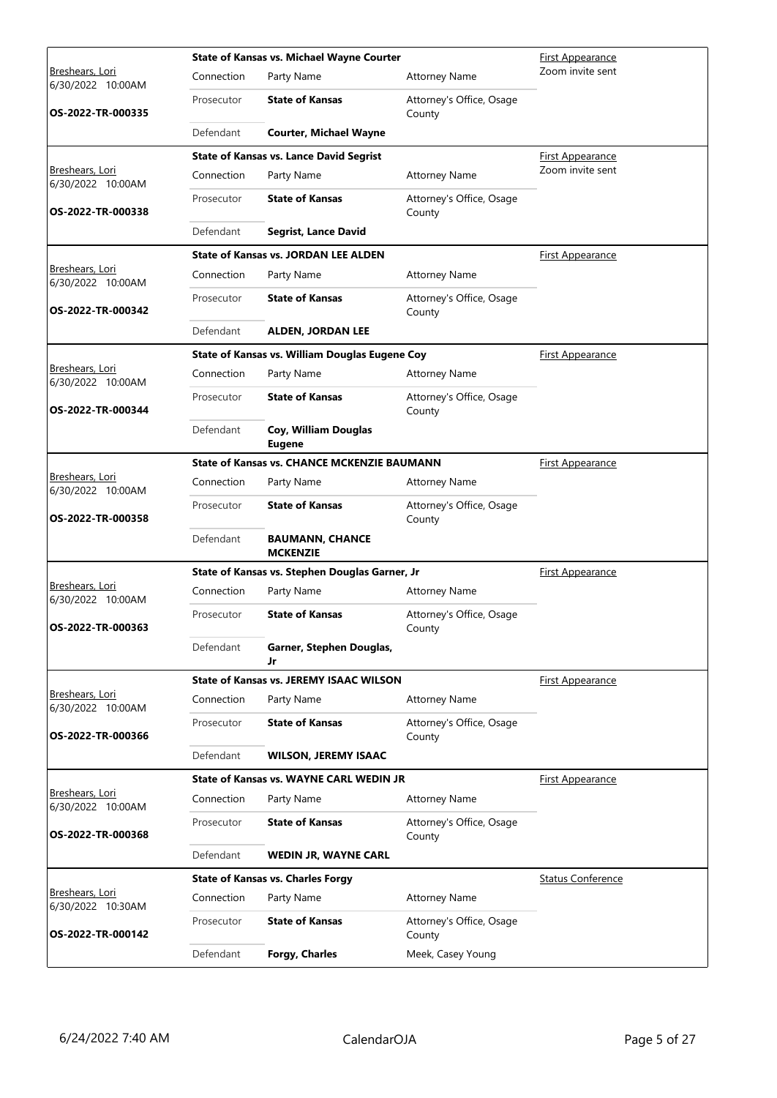|                                             |            | <b>State of Kansas vs. Michael Wayne Courter</b>   | <b>First Appearance</b>            |                          |
|---------------------------------------------|------------|----------------------------------------------------|------------------------------------|--------------------------|
| <b>Breshears, Lori</b><br>6/30/2022 10:00AM | Connection | Party Name                                         | <b>Attorney Name</b>               | Zoom invite sent         |
| OS-2022-TR-000335                           | Prosecutor | <b>State of Kansas</b>                             | Attorney's Office, Osage<br>County |                          |
|                                             | Defendant  | <b>Courter, Michael Wayne</b>                      |                                    |                          |
|                                             |            | <b>State of Kansas vs. Lance David Segrist</b>     |                                    | <b>First Appearance</b>  |
| Breshears, Lori<br>6/30/2022 10:00AM        | Connection | Party Name                                         | <b>Attorney Name</b>               | Zoom invite sent         |
| OS-2022-TR-000338                           | Prosecutor | <b>State of Kansas</b>                             | Attorney's Office, Osage<br>County |                          |
|                                             | Defendant  | <b>Segrist, Lance David</b>                        |                                    |                          |
|                                             |            | <b>State of Kansas vs. JORDAN LEE ALDEN</b>        |                                    | <b>First Appearance</b>  |
| Breshears, Lori<br>6/30/2022 10:00AM        | Connection | Party Name                                         | <b>Attorney Name</b>               |                          |
| OS-2022-TR-000342                           | Prosecutor | <b>State of Kansas</b>                             | Attorney's Office, Osage<br>County |                          |
|                                             | Defendant  | <b>ALDEN, JORDAN LEE</b>                           |                                    |                          |
|                                             |            | State of Kansas vs. William Douglas Eugene Coy     |                                    | <b>First Appearance</b>  |
| <b>Breshears, Lori</b><br>6/30/2022 10:00AM | Connection | Party Name                                         | <b>Attorney Name</b>               |                          |
| OS-2022-TR-000344                           | Prosecutor | <b>State of Kansas</b>                             | Attorney's Office, Osage<br>County |                          |
|                                             | Defendant  | Coy, William Douglas<br><b>Eugene</b>              |                                    |                          |
|                                             |            | <b>State of Kansas vs. CHANCE MCKENZIE BAUMANN</b> |                                    | <b>First Appearance</b>  |
| Breshears, Lori<br>6/30/2022 10:00AM        | Connection | Party Name                                         | <b>Attorney Name</b>               |                          |
| OS-2022-TR-000358                           | Prosecutor | <b>State of Kansas</b>                             | Attorney's Office, Osage<br>County |                          |
|                                             | Defendant  | <b>BAUMANN, CHANCE</b><br><b>MCKENZIE</b>          |                                    |                          |
|                                             |            | State of Kansas vs. Stephen Douglas Garner, Jr     |                                    | <b>First Appearance</b>  |
| Breshears, Lori<br>6/30/2022 10:00AM        | Connection | Party Name                                         | <b>Attorney Name</b>               |                          |
| OS-2022-TR-000363                           | Prosecutor | <b>State of Kansas</b>                             | Attorney's Office, Osage<br>County |                          |
|                                             | Defendant  | Garner, Stephen Douglas,<br>Jr                     |                                    |                          |
|                                             |            | <b>State of Kansas vs. JEREMY ISAAC WILSON</b>     |                                    | <b>First Appearance</b>  |
| Breshears, Lori<br>6/30/2022 10:00AM        | Connection | Party Name                                         | <b>Attorney Name</b>               |                          |
| OS-2022-TR-000366                           | Prosecutor | <b>State of Kansas</b>                             | Attorney's Office, Osage<br>County |                          |
|                                             | Defendant  | <b>WILSON, JEREMY ISAAC</b>                        |                                    |                          |
|                                             |            | State of Kansas vs. WAYNE CARL WEDIN JR            |                                    | <u>First Appearance</u>  |
| Breshears, Lori<br>6/30/2022 10:00AM        | Connection | Party Name                                         | <b>Attorney Name</b>               |                          |
| OS-2022-TR-000368                           | Prosecutor | <b>State of Kansas</b>                             | Attorney's Office, Osage<br>County |                          |
|                                             | Defendant  | <b>WEDIN JR, WAYNE CARL</b>                        |                                    |                          |
|                                             |            | <b>State of Kansas vs. Charles Forgy</b>           |                                    | <b>Status Conference</b> |
| Breshears, Lori<br>6/30/2022 10:30AM        | Connection | Party Name                                         | <b>Attorney Name</b>               |                          |
| OS-2022-TR-000142                           | Prosecutor | <b>State of Kansas</b>                             | Attorney's Office, Osage<br>County |                          |
|                                             | Defendant  | <b>Forgy, Charles</b>                              | Meek, Casey Young                  |                          |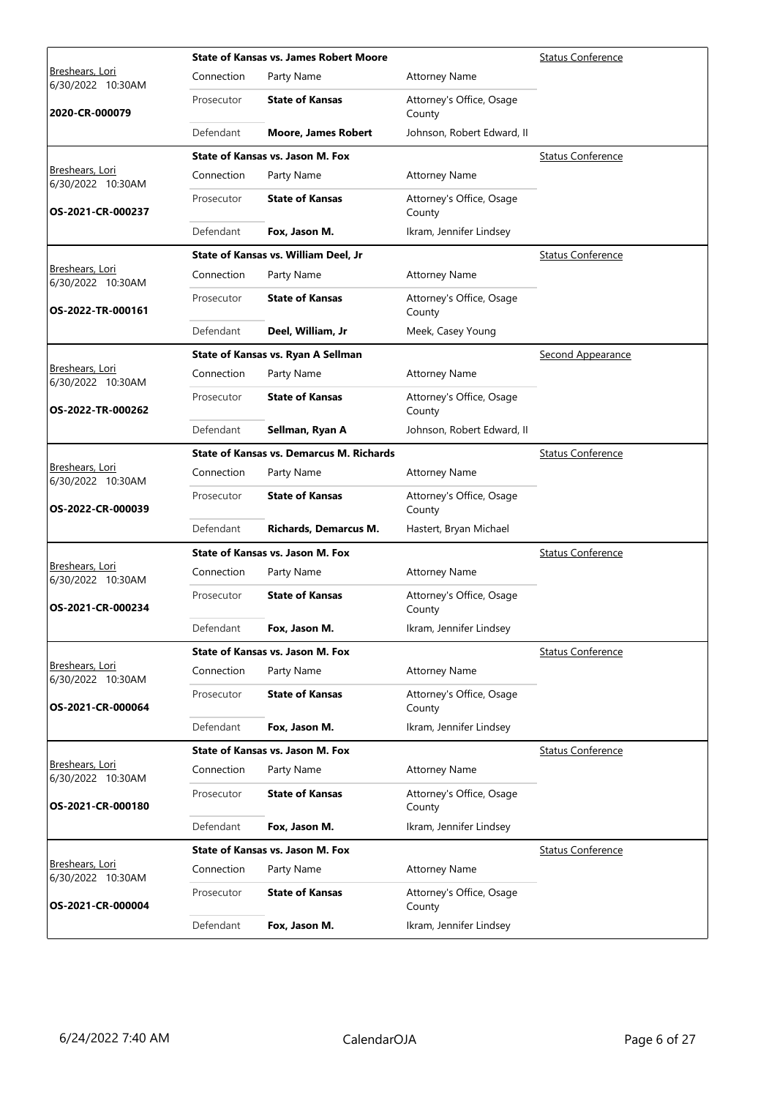|                                             |            | <b>State of Kansas vs. James Robert Moore</b>   | <b>Status Conference</b>           |                          |
|---------------------------------------------|------------|-------------------------------------------------|------------------------------------|--------------------------|
| <u>Breshears, Lori</u><br>6/30/2022 10:30AM | Connection | Party Name                                      | <b>Attorney Name</b>               |                          |
| 2020-CR-000079                              | Prosecutor | <b>State of Kansas</b>                          | Attorney's Office, Osage<br>County |                          |
|                                             | Defendant  | <b>Moore, James Robert</b>                      | Johnson, Robert Edward, II         |                          |
|                                             |            | <b>State of Kansas vs. Jason M. Fox</b>         |                                    | <b>Status Conference</b> |
| Breshears, Lori<br>6/30/2022 10:30AM        | Connection | Party Name                                      | <b>Attorney Name</b>               |                          |
| OS-2021-CR-000237                           | Prosecutor | <b>State of Kansas</b>                          | Attorney's Office, Osage<br>County |                          |
|                                             | Defendant  | Fox, Jason M.                                   | Ikram, Jennifer Lindsey            |                          |
|                                             |            | State of Kansas vs. William Deel, Jr            |                                    | <b>Status Conference</b> |
| Breshears, Lori<br>6/30/2022 10:30AM        | Connection | Party Name                                      | <b>Attorney Name</b>               |                          |
| OS-2022-TR-000161                           | Prosecutor | <b>State of Kansas</b>                          | Attorney's Office, Osage<br>County |                          |
|                                             | Defendant  | Deel, William, Jr                               | Meek, Casey Young                  |                          |
|                                             |            | State of Kansas vs. Ryan A Sellman              |                                    | Second Appearance        |
| <u>Breshears, Lori</u><br>6/30/2022 10:30AM | Connection | Party Name                                      | <b>Attorney Name</b>               |                          |
| OS-2022-TR-000262                           | Prosecutor | <b>State of Kansas</b>                          | Attorney's Office, Osage<br>County |                          |
|                                             | Defendant  | Sellman, Ryan A                                 | Johnson, Robert Edward, II         |                          |
|                                             |            | <b>State of Kansas vs. Demarcus M. Richards</b> |                                    | <b>Status Conference</b> |
| Breshears, Lori<br>6/30/2022 10:30AM        | Connection | Party Name                                      | <b>Attorney Name</b>               |                          |
| OS-2022-CR-000039                           | Prosecutor | <b>State of Kansas</b>                          | Attorney's Office, Osage<br>County |                          |
|                                             | Defendant  | <b>Richards, Demarcus M.</b>                    | Hastert, Bryan Michael             |                          |
|                                             |            | State of Kansas vs. Jason M. Fox                |                                    | <b>Status Conference</b> |
| Breshears, Lori<br>6/30/2022 10:30AM        | Connection | Party Name                                      | <b>Attorney Name</b>               |                          |
| OS-2021-CR-000234                           | Prosecutor | <b>State of Kansas</b>                          | Attorney's Office, Osage<br>County |                          |
|                                             | Defendant  | Fox, Jason M.                                   | Ikram, Jennifer Lindsey            |                          |
|                                             |            | State of Kansas vs. Jason M. Fox                |                                    | <b>Status Conference</b> |
| Breshears, Lori<br>6/30/2022 10:30AM        | Connection | Party Name                                      | <b>Attorney Name</b>               |                          |
| OS-2021-CR-000064                           | Prosecutor | <b>State of Kansas</b>                          | Attorney's Office, Osage<br>County |                          |
|                                             | Defendant  | Fox, Jason M.                                   | Ikram, Jennifer Lindsey            |                          |
|                                             |            | <b>State of Kansas vs. Jason M. Fox</b>         |                                    | <b>Status Conference</b> |
| Breshears, Lori<br>6/30/2022 10:30AM        | Connection | Party Name                                      | <b>Attorney Name</b>               |                          |
| OS-2021-CR-000180                           | Prosecutor | <b>State of Kansas</b>                          | Attorney's Office, Osage<br>County |                          |
|                                             | Defendant  | Fox, Jason M.                                   | Ikram, Jennifer Lindsey            |                          |
|                                             |            | State of Kansas vs. Jason M. Fox                |                                    | <b>Status Conference</b> |
| <u>Breshears, Lori</u><br>6/30/2022 10:30AM | Connection | Party Name                                      | <b>Attorney Name</b>               |                          |
| OS-2021-CR-000004                           | Prosecutor | <b>State of Kansas</b>                          | Attorney's Office, Osage<br>County |                          |
|                                             | Defendant  | Fox, Jason M.                                   | Ikram, Jennifer Lindsey            |                          |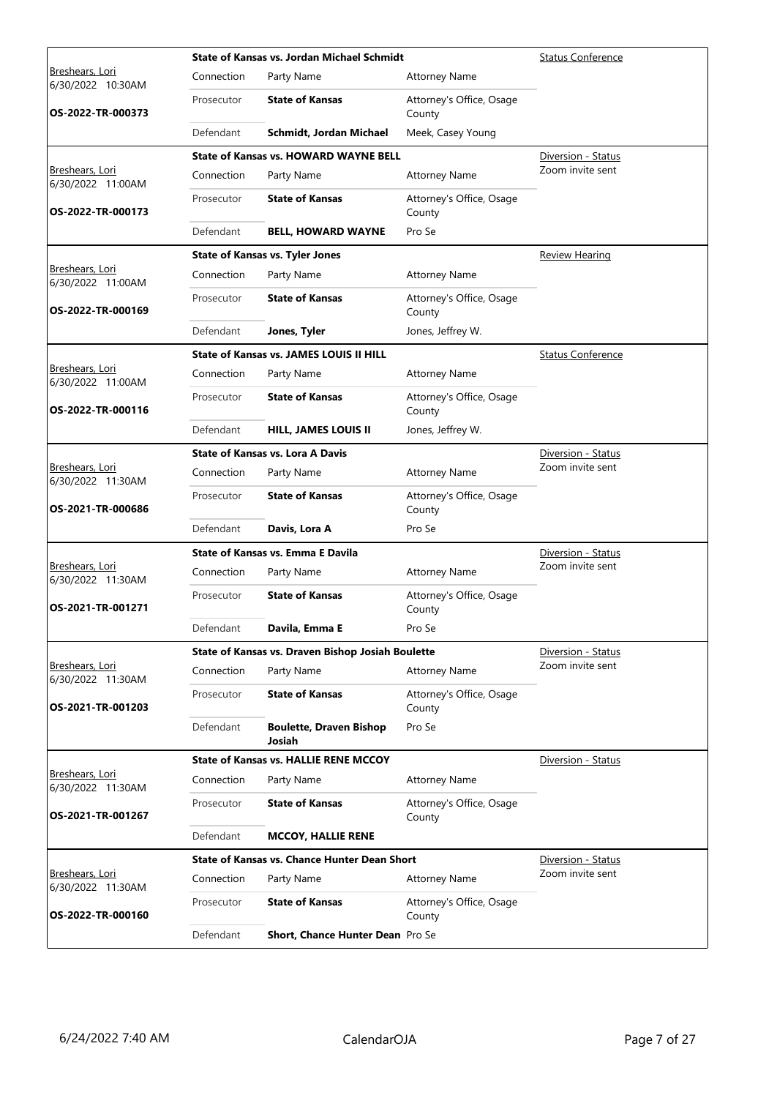|                                             |            | <b>State of Kansas vs. Jordan Michael Schmidt</b>   | <b>Status Conference</b>           |                          |
|---------------------------------------------|------------|-----------------------------------------------------|------------------------------------|--------------------------|
| <u>Breshears, Lori</u><br>6/30/2022 10:30AM | Connection | Party Name                                          | <b>Attorney Name</b>               |                          |
| OS-2022-TR-000373                           | Prosecutor | <b>State of Kansas</b>                              | Attorney's Office, Osage<br>County |                          |
|                                             | Defendant  | Schmidt, Jordan Michael                             | Meek, Casey Young                  |                          |
|                                             |            | <b>State of Kansas vs. HOWARD WAYNE BELL</b>        |                                    | Diversion - Status       |
| Breshears, Lori<br>6/30/2022 11:00AM        | Connection | Party Name                                          | <b>Attorney Name</b>               | Zoom invite sent         |
| OS-2022-TR-000173                           | Prosecutor | <b>State of Kansas</b>                              | Attorney's Office, Osage<br>County |                          |
|                                             | Defendant  | <b>BELL, HOWARD WAYNE</b>                           | Pro Se                             |                          |
|                                             |            | <b>State of Kansas vs. Tyler Jones</b>              |                                    | <b>Review Hearing</b>    |
| Breshears, Lori<br>6/30/2022 11:00AM        | Connection | Party Name                                          | <b>Attorney Name</b>               |                          |
| OS-2022-TR-000169                           | Prosecutor | <b>State of Kansas</b>                              | Attorney's Office, Osage<br>County |                          |
|                                             | Defendant  | Jones, Tyler                                        | Jones, Jeffrey W.                  |                          |
|                                             |            | <b>State of Kansas vs. JAMES LOUIS II HILL</b>      |                                    | <b>Status Conference</b> |
| <u>Breshears, Lori</u><br>6/30/2022 11:00AM | Connection | Party Name                                          | <b>Attorney Name</b>               |                          |
| OS-2022-TR-000116                           | Prosecutor | <b>State of Kansas</b>                              | Attorney's Office, Osage<br>County |                          |
|                                             | Defendant  | <b>HILL, JAMES LOUIS II</b>                         | Jones, Jeffrey W.                  |                          |
|                                             |            | <b>State of Kansas vs. Lora A Davis</b>             |                                    | Diversion - Status       |
| Breshears, Lori<br>6/30/2022 11:30AM        | Connection | Party Name                                          | <b>Attorney Name</b>               | Zoom invite sent         |
| OS-2021-TR-000686                           | Prosecutor | <b>State of Kansas</b>                              | Attorney's Office, Osage<br>County |                          |
|                                             | Defendant  | Davis, Lora A                                       | Pro Se                             |                          |
|                                             |            | State of Kansas vs. Emma E Davila                   |                                    | Diversion - Status       |
| Breshears, Lori<br>6/30/2022 11:30AM        | Connection | Party Name                                          | <b>Attorney Name</b>               | Zoom invite sent         |
| OS-2021-TR-001271                           | Prosecutor | <b>State of Kansas</b>                              | Attorney's Office, Osage<br>County |                          |
|                                             | Defendant  | Davila, Emma E                                      | Pro Se                             |                          |
|                                             |            | State of Kansas vs. Draven Bishop Josiah Boulette   |                                    | Diversion - Status       |
| Breshears, Lori<br>6/30/2022 11:30AM        | Connection | Party Name                                          | <b>Attorney Name</b>               | Zoom invite sent         |
| OS-2021-TR-001203                           | Prosecutor | <b>State of Kansas</b>                              | Attorney's Office, Osage<br>County |                          |
|                                             | Defendant  | <b>Boulette, Draven Bishop</b><br>Josiah            | Pro Se                             |                          |
|                                             |            | <b>State of Kansas vs. HALLIE RENE MCCOY</b>        |                                    | Diversion - Status       |
| Breshears, Lori<br>6/30/2022 11:30AM        | Connection | Party Name                                          | <b>Attorney Name</b>               |                          |
| OS-2021-TR-001267                           | Prosecutor | <b>State of Kansas</b>                              | Attorney's Office, Osage<br>County |                          |
|                                             | Defendant  | <b>MCCOY, HALLIE RENE</b>                           |                                    |                          |
|                                             |            | <b>State of Kansas vs. Chance Hunter Dean Short</b> |                                    | Diversion - Status       |
| Breshears, Lori<br>6/30/2022 11:30AM        | Connection | Party Name                                          | <b>Attorney Name</b>               | Zoom invite sent         |
| OS-2022-TR-000160                           | Prosecutor | <b>State of Kansas</b>                              | Attorney's Office, Osage<br>County |                          |
|                                             | Defendant  | <b>Short, Chance Hunter Dean</b> Pro Se             |                                    |                          |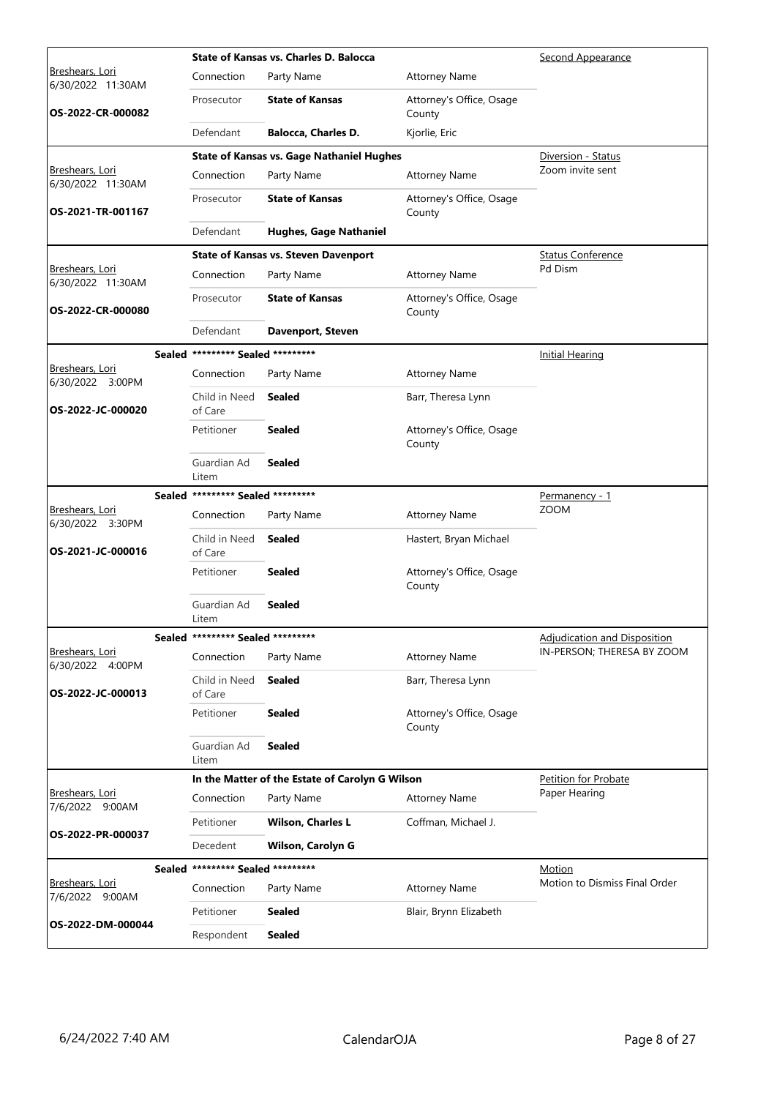|                                      |        |                                   | State of Kansas vs. Charles D. Balocca           |                                    | Second Appearance                   |
|--------------------------------------|--------|-----------------------------------|--------------------------------------------------|------------------------------------|-------------------------------------|
| Breshears, Lori<br>6/30/2022 11:30AM |        | Connection                        | Party Name                                       | <b>Attorney Name</b>               |                                     |
| OS-2022-CR-000082                    |        | Prosecutor                        | <b>State of Kansas</b>                           | Attorney's Office, Osage<br>County |                                     |
|                                      |        | Defendant                         | <b>Balocca, Charles D.</b>                       | Kjorlie, Eric                      |                                     |
|                                      |        |                                   | <b>State of Kansas vs. Gage Nathaniel Hughes</b> |                                    | Diversion - Status                  |
| Breshears, Lori<br>6/30/2022 11:30AM |        | Connection                        | Party Name                                       | <b>Attorney Name</b>               | Zoom invite sent                    |
| OS-2021-TR-001167                    |        | Prosecutor                        | <b>State of Kansas</b>                           | Attorney's Office, Osage<br>County |                                     |
|                                      |        | Defendant                         | <b>Hughes, Gage Nathaniel</b>                    |                                    |                                     |
|                                      |        |                                   | <b>State of Kansas vs. Steven Davenport</b>      |                                    | <b>Status Conference</b>            |
| Breshears, Lori<br>6/30/2022 11:30AM |        | Connection                        | Party Name                                       | <b>Attorney Name</b>               | Pd Dism                             |
| OS-2022-CR-000080                    |        | Prosecutor                        | <b>State of Kansas</b>                           | Attorney's Office, Osage<br>County |                                     |
|                                      |        | Defendant                         | <b>Davenport, Steven</b>                         |                                    |                                     |
|                                      |        | Sealed ********* Sealed ********* |                                                  |                                    | <b>Initial Hearing</b>              |
| Breshears, Lori<br>6/30/2022 3:00PM  |        | Connection                        | Party Name                                       | <b>Attorney Name</b>               |                                     |
| OS-2022-JC-000020                    |        | Child in Need<br>of Care          | <b>Sealed</b>                                    | Barr, Theresa Lynn                 |                                     |
|                                      |        | Petitioner                        | <b>Sealed</b>                                    | Attorney's Office, Osage<br>County |                                     |
|                                      |        | Guardian Ad<br>Litem              | <b>Sealed</b>                                    |                                    |                                     |
|                                      | Sealed | ********* Sealed *********        |                                                  |                                    | Permanency - 1                      |
| Breshears, Lori<br>6/30/2022 3:30PM  |        | Connection                        | Party Name                                       | <b>Attorney Name</b>               | <b>ZOOM</b>                         |
| OS-2021-JC-000016                    |        | Child in Need<br>of Care          | <b>Sealed</b>                                    | Hastert, Bryan Michael             |                                     |
|                                      |        | Petitioner                        | <b>Sealed</b>                                    | Attorney's Office, Osage<br>County |                                     |
|                                      |        | Guardian Ad<br>Litem              | <b>Sealed</b>                                    |                                    |                                     |
|                                      |        | Sealed ********* Sealed ********* |                                                  |                                    | <b>Adjudication and Disposition</b> |
| Breshears, Lori<br>6/30/2022 4:00PM  |        | Connection                        | Party Name                                       | <b>Attorney Name</b>               | IN-PERSON; THERESA BY ZOOM          |
| OS-2022-JC-000013                    |        | Child in Need<br>of Care          | <b>Sealed</b>                                    | Barr, Theresa Lynn                 |                                     |
|                                      |        | Petitioner                        | <b>Sealed</b>                                    | Attorney's Office, Osage<br>County |                                     |
|                                      |        | Guardian Ad<br>Litem              | <b>Sealed</b>                                    |                                    |                                     |
|                                      |        |                                   | In the Matter of the Estate of Carolyn G Wilson  |                                    | Petition for Probate                |
| Breshears, Lori<br>7/6/2022 9:00AM   |        | Connection                        | Party Name                                       | <b>Attorney Name</b>               | Paper Hearing                       |
| OS-2022-PR-000037                    |        | Petitioner                        | <b>Wilson, Charles L</b>                         | Coffman, Michael J.                |                                     |
|                                      |        | Decedent                          | <b>Wilson, Carolyn G</b>                         |                                    |                                     |
|                                      |        | Sealed ********* Sealed ********* |                                                  |                                    | Motion                              |
| Breshears, Lori<br>7/6/2022 9:00AM   |        | Connection                        | Party Name                                       | <b>Attorney Name</b>               | Motion to Dismiss Final Order       |
| OS-2022-DM-000044                    |        | Petitioner                        | <b>Sealed</b>                                    | Blair, Brynn Elizabeth             |                                     |
|                                      |        | Respondent                        | <b>Sealed</b>                                    |                                    |                                     |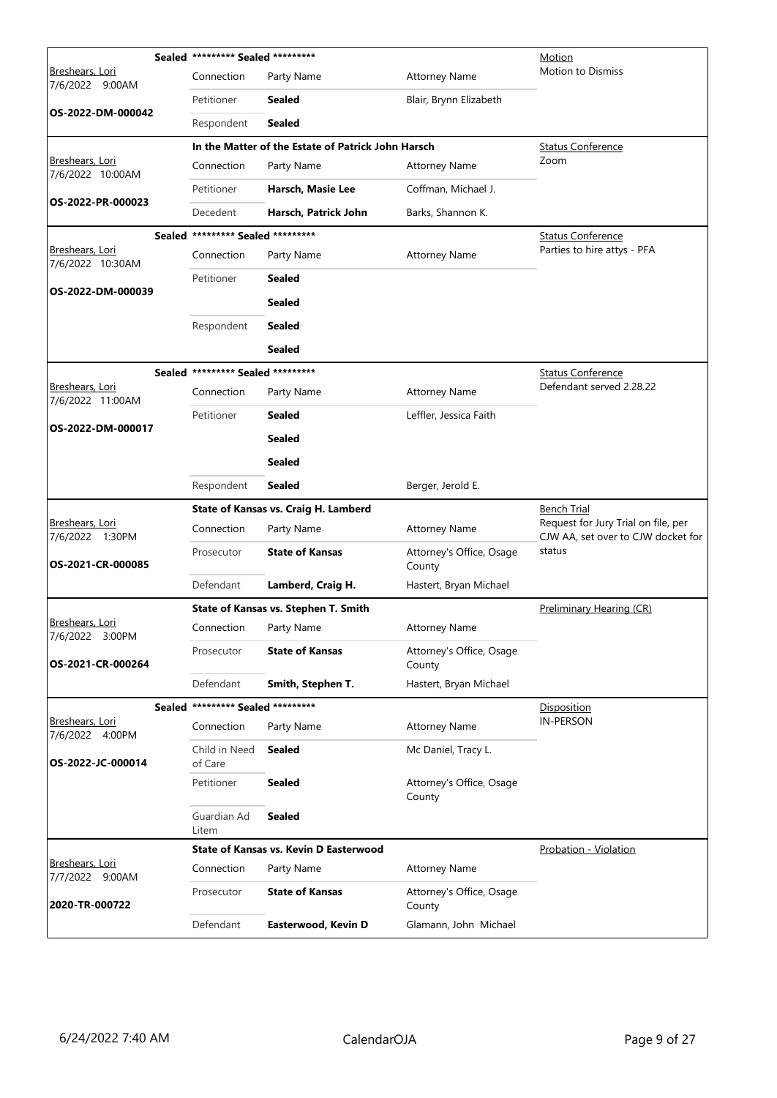|                                           | Sealed ********* Sealed *********    |                                                    | Motion                             |                                                                           |
|-------------------------------------------|--------------------------------------|----------------------------------------------------|------------------------------------|---------------------------------------------------------------------------|
| Breshears, Lori<br>7/6/2022 9:00AM        | Connection                           | Party Name                                         | <b>Attorney Name</b>               | <b>Motion to Dismiss</b>                                                  |
|                                           | Petitioner                           | Sealed                                             | Blair, Brynn Elizabeth             |                                                                           |
| OS-2022-DM-000042                         | Respondent                           | <b>Sealed</b>                                      |                                    |                                                                           |
|                                           |                                      | In the Matter of the Estate of Patrick John Harsch |                                    | <b>Status Conference</b>                                                  |
| Breshears, Lori<br>7/6/2022 10:00AM       | Connection                           | Party Name                                         | <b>Attorney Name</b>               | Zoom                                                                      |
|                                           | Petitioner                           | Harsch, Masie Lee                                  | Coffman, Michael J.                |                                                                           |
| OS-2022-PR-000023                         | Decedent                             | Harsch, Patrick John                               | Barks, Shannon K.                  |                                                                           |
|                                           | Sealed ********* Sealed *********    |                                                    |                                    | <b>Status Conference</b>                                                  |
| Breshears, Lori<br>7/6/2022 10:30AM       | Connection                           | Party Name                                         | <b>Attorney Name</b>               | Parties to hire attys - PFA                                               |
|                                           | Petitioner                           | Sealed                                             |                                    |                                                                           |
| OS-2022-DM-000039                         |                                      | Sealed                                             |                                    |                                                                           |
|                                           | Respondent                           | <b>Sealed</b>                                      |                                    |                                                                           |
|                                           |                                      | <b>Sealed</b>                                      |                                    |                                                                           |
|                                           | Sealed ********* Sealed *********    |                                                    |                                    | <b>Status Conference</b>                                                  |
| Breshears, Lori<br>7/6/2022 11:00AM       | Connection                           | Party Name                                         | <b>Attorney Name</b>               | Defendant served 2.28.22                                                  |
|                                           | Petitioner                           | Sealed                                             | Leffler, Jessica Faith             |                                                                           |
| OS-2022-DM-000017                         |                                      | <b>Sealed</b>                                      |                                    |                                                                           |
|                                           |                                      | <b>Sealed</b>                                      |                                    |                                                                           |
|                                           | Respondent                           | <b>Sealed</b>                                      | Berger, Jerold E.                  |                                                                           |
|                                           |                                      | State of Kansas vs. Craig H. Lamberd               |                                    | <u>Bench Trial</u>                                                        |
| Breshears, Lori<br>7/6/2022 1:30PM        | Connection                           | Party Name                                         | <b>Attorney Name</b>               | Request for Jury Trial on file, per<br>CJW AA, set over to CJW docket for |
| OS-2021-CR-000085                         | Prosecutor                           | <b>State of Kansas</b>                             | Attorney's Office, Osage<br>County | status                                                                    |
|                                           | Defendant                            | Lamberd, Craig H.                                  | Hastert, Bryan Michael             |                                                                           |
|                                           |                                      | State of Kansas vs. Stephen T. Smith               |                                    | Preliminary Hearing (CR)                                                  |
| <u>Breshears, Lori</u><br>7/6/2022 3:00PM | Connection                           | Party Name                                         | Attorney Name                      |                                                                           |
| OS-2021-CR-000264                         | Prosecutor                           | <b>State of Kansas</b>                             | Attorney's Office, Osage<br>County |                                                                           |
|                                           | Defendant                            | Smith, Stephen T.                                  | Hastert, Bryan Michael             |                                                                           |
|                                           | ********* Sealed *********<br>Sealed |                                                    |                                    | <b>Disposition</b>                                                        |
| Breshears, Lori<br>7/6/2022 4:00PM        | Connection                           | Party Name                                         | <b>Attorney Name</b>               | <b>IN-PERSON</b>                                                          |
| OS-2022-JC-000014                         | Child in Need<br>of Care             | <b>Sealed</b>                                      | Mc Daniel, Tracy L.                |                                                                           |
|                                           | Petitioner                           | <b>Sealed</b>                                      | Attorney's Office, Osage<br>County |                                                                           |
|                                           | Guardian Ad<br>Litem                 | <b>Sealed</b>                                      |                                    |                                                                           |
|                                           |                                      | State of Kansas vs. Kevin D Easterwood             |                                    | Probation - Violation                                                     |
| Breshears, Lori<br>7/7/2022 9:00AM        | Connection                           | Party Name                                         | <b>Attorney Name</b>               |                                                                           |
| 2020-TR-000722                            | Prosecutor                           | <b>State of Kansas</b>                             | Attorney's Office, Osage           |                                                                           |
|                                           |                                      |                                                    | County                             |                                                                           |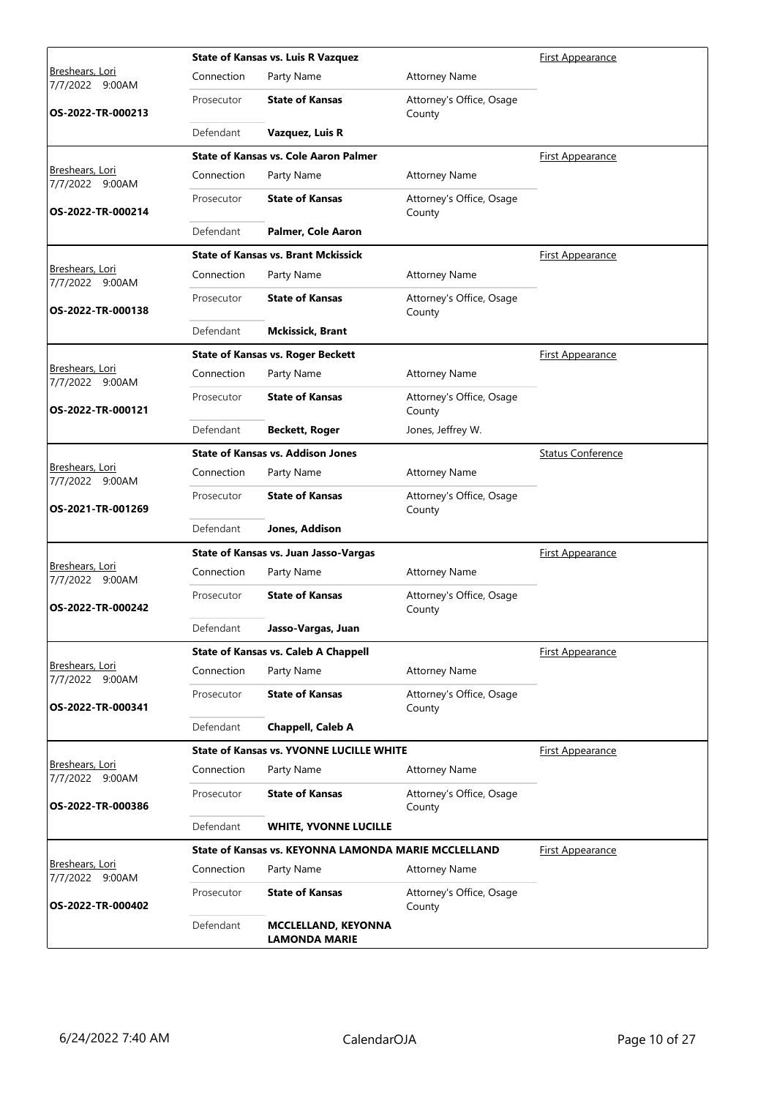|                                              |            | <b>State of Kansas vs. Luis R Vazquez</b>            | <b>First Appearance</b>            |                          |
|----------------------------------------------|------------|------------------------------------------------------|------------------------------------|--------------------------|
| <u>Breshears, Lori</u><br>9:00AM<br>7/7/2022 | Connection | Party Name                                           | <b>Attorney Name</b>               |                          |
| OS-2022-TR-000213                            | Prosecutor | <b>State of Kansas</b>                               | Attorney's Office, Osage<br>County |                          |
|                                              | Defendant  | Vazquez, Luis R                                      |                                    |                          |
|                                              |            | <b>State of Kansas vs. Cole Aaron Palmer</b>         |                                    | First Appearance         |
| Breshears, Lori<br>7/7/2022 9:00AM           | Connection | Party Name                                           | <b>Attorney Name</b>               |                          |
| OS-2022-TR-000214                            | Prosecutor | <b>State of Kansas</b>                               | Attorney's Office, Osage<br>County |                          |
|                                              | Defendant  | Palmer, Cole Aaron                                   |                                    |                          |
|                                              |            | <b>State of Kansas vs. Brant Mckissick</b>           |                                    | <b>First Appearance</b>  |
| Breshears, Lori<br>7/7/2022 9:00AM           | Connection | Party Name                                           | <b>Attorney Name</b>               |                          |
| OS-2022-TR-000138                            | Prosecutor | <b>State of Kansas</b>                               | Attorney's Office, Osage<br>County |                          |
|                                              | Defendant  | <b>Mckissick, Brant</b>                              |                                    |                          |
|                                              |            | <b>State of Kansas vs. Roger Beckett</b>             |                                    | <u>First Appearance</u>  |
| <u>Breshears, Lori</u><br>7/7/2022 9:00AM    | Connection | Party Name                                           | <b>Attorney Name</b>               |                          |
| OS-2022-TR-000121                            | Prosecutor | <b>State of Kansas</b>                               | Attorney's Office, Osage<br>County |                          |
|                                              | Defendant  | <b>Beckett, Roger</b>                                | Jones, Jeffrey W.                  |                          |
|                                              |            | <b>State of Kansas vs. Addison Jones</b>             |                                    | <b>Status Conference</b> |
| Breshears, Lori<br>7/7/2022 9:00AM           | Connection | Party Name                                           | <b>Attorney Name</b>               |                          |
| OS-2021-TR-001269                            | Prosecutor | <b>State of Kansas</b>                               | Attorney's Office, Osage<br>County |                          |
|                                              | Defendant  | Jones, Addison                                       |                                    |                          |
|                                              |            | State of Kansas vs. Juan Jasso-Vargas                |                                    | <b>First Appearance</b>  |
| Breshears, Lori<br>7/7/2022 9:00AM           | Connection | Party Name                                           | <b>Attorney Name</b>               |                          |
| OS-2022-TR-000242                            | Prosecutor | <b>State of Kansas</b>                               | Attorney's Office, Osage<br>County |                          |
|                                              | Defendant  | Jasso-Vargas, Juan                                   |                                    |                          |
|                                              |            | <b>State of Kansas vs. Caleb A Chappell</b>          |                                    | First Appearance         |
| Breshears, Lori<br>7/7/2022 9:00AM           | Connection | Party Name                                           | <b>Attorney Name</b>               |                          |
| OS-2022-TR-000341                            | Prosecutor | <b>State of Kansas</b>                               | Attorney's Office, Osage<br>County |                          |
|                                              | Defendant  | Chappell, Caleb A                                    |                                    |                          |
|                                              |            | <b>State of Kansas vs. YVONNE LUCILLE WHITE</b>      |                                    | <b>First Appearance</b>  |
| Breshears, Lori<br>7/7/2022 9:00AM           | Connection | Party Name                                           | <b>Attorney Name</b>               |                          |
| OS-2022-TR-000386                            | Prosecutor | <b>State of Kansas</b>                               | Attorney's Office, Osage<br>County |                          |
|                                              | Defendant  | <b>WHITE, YVONNE LUCILLE</b>                         |                                    |                          |
|                                              |            | State of Kansas vs. KEYONNA LAMONDA MARIE MCCLELLAND |                                    | <b>First Appearance</b>  |
| <b>Breshears, Lori</b><br>7/7/2022 9:00AM    | Connection | Party Name                                           | <b>Attorney Name</b>               |                          |
| OS-2022-TR-000402                            | Prosecutor | <b>State of Kansas</b>                               | Attorney's Office, Osage<br>County |                          |
|                                              | Defendant  | <b>MCCLELLAND, KEYONNA</b><br><b>LAMONDA MARIE</b>   |                                    |                          |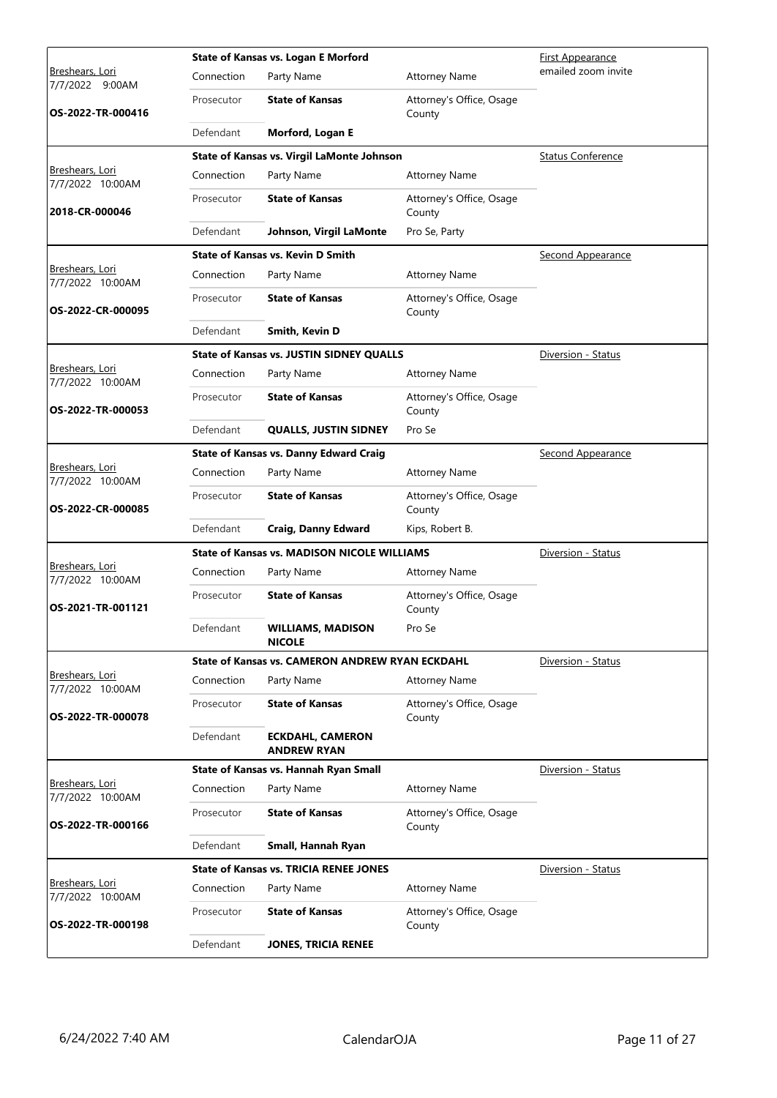|                                       |            | State of Kansas vs. Logan E Morford                | <u>First Appearance</u>            |                          |
|---------------------------------------|------------|----------------------------------------------------|------------------------------------|--------------------------|
| Breshears, Lori<br>7/7/2022<br>9:00AM | Connection | Party Name                                         | <b>Attorney Name</b>               | emailed zoom invite      |
| OS-2022-TR-000416                     | Prosecutor | <b>State of Kansas</b>                             | Attorney's Office, Osage<br>County |                          |
|                                       | Defendant  | Morford, Logan E                                   |                                    |                          |
|                                       |            | State of Kansas vs. Virgil LaMonte Johnson         |                                    | <b>Status Conference</b> |
| Breshears, Lori<br>7/7/2022 10:00AM   | Connection | Party Name                                         | <b>Attorney Name</b>               |                          |
| 2018-CR-000046                        | Prosecutor | <b>State of Kansas</b>                             | Attorney's Office, Osage<br>County |                          |
|                                       | Defendant  | Johnson, Virgil LaMonte                            | Pro Se, Party                      |                          |
|                                       |            | <b>State of Kansas vs. Kevin D Smith</b>           |                                    | <b>Second Appearance</b> |
| Breshears, Lori<br>7/7/2022 10:00AM   | Connection | Party Name                                         | <b>Attorney Name</b>               |                          |
| OS-2022-CR-000095                     | Prosecutor | <b>State of Kansas</b>                             | Attorney's Office, Osage<br>County |                          |
|                                       | Defendant  | Smith, Kevin D                                     |                                    |                          |
|                                       |            | <b>State of Kansas vs. JUSTIN SIDNEY QUALLS</b>    |                                    | Diversion - Status       |
| Breshears, Lori<br>7/7/2022 10:00AM   | Connection | Party Name                                         | <b>Attorney Name</b>               |                          |
| OS-2022-TR-000053                     | Prosecutor | <b>State of Kansas</b>                             | Attorney's Office, Osage<br>County |                          |
|                                       | Defendant  | <b>QUALLS, JUSTIN SIDNEY</b>                       | Pro Se                             |                          |
|                                       |            | <b>State of Kansas vs. Danny Edward Craig</b>      |                                    | <b>Second Appearance</b> |
| Breshears, Lori<br>7/7/2022 10:00AM   | Connection | Party Name                                         | <b>Attorney Name</b>               |                          |
| OS-2022-CR-000085                     | Prosecutor | <b>State of Kansas</b>                             | Attorney's Office, Osage<br>County |                          |
|                                       | Defendant  | <b>Craig, Danny Edward</b>                         | Kips, Robert B.                    |                          |
|                                       |            | <b>State of Kansas vs. MADISON NICOLE WILLIAMS</b> |                                    | Diversion - Status       |
| Breshears, Lori<br>7/7/2022 10:00AM   | Connection | Party Name                                         | <b>Attorney Name</b>               |                          |
| OS-2021-TR-001121                     | Prosecutor | <b>State of Kansas</b>                             | Attorney's Office, Osage<br>County |                          |
|                                       | Defendant  | <b>WILLIAMS, MADISON</b><br><b>NICOLE</b>          | Pro Se                             |                          |
|                                       |            | State of Kansas vs. CAMERON ANDREW RYAN ECKDAHL    |                                    | Diversion - Status       |
| Breshears, Lori<br>7/7/2022 10:00AM   | Connection | Party Name                                         | <b>Attorney Name</b>               |                          |
| OS-2022-TR-000078                     | Prosecutor | <b>State of Kansas</b>                             | Attorney's Office, Osage<br>County |                          |
|                                       | Defendant  | <b>ECKDAHL, CAMERON</b><br><b>ANDREW RYAN</b>      |                                    |                          |
|                                       |            | State of Kansas vs. Hannah Ryan Small              |                                    | Diversion - Status       |
| Breshears, Lori<br>7/7/2022 10:00AM   | Connection | Party Name                                         | <b>Attorney Name</b>               |                          |
| OS-2022-TR-000166                     | Prosecutor | <b>State of Kansas</b>                             | Attorney's Office, Osage<br>County |                          |
|                                       | Defendant  | Small, Hannah Ryan                                 |                                    |                          |
|                                       |            | <b>State of Kansas vs. TRICIA RENEE JONES</b>      |                                    | Diversion - Status       |
| Breshears, Lori<br>7/7/2022 10:00AM   | Connection | Party Name                                         | <b>Attorney Name</b>               |                          |
| OS-2022-TR-000198                     | Prosecutor | <b>State of Kansas</b>                             | Attorney's Office, Osage<br>County |                          |
|                                       | Defendant  | <b>JONES, TRICIA RENEE</b>                         |                                    |                          |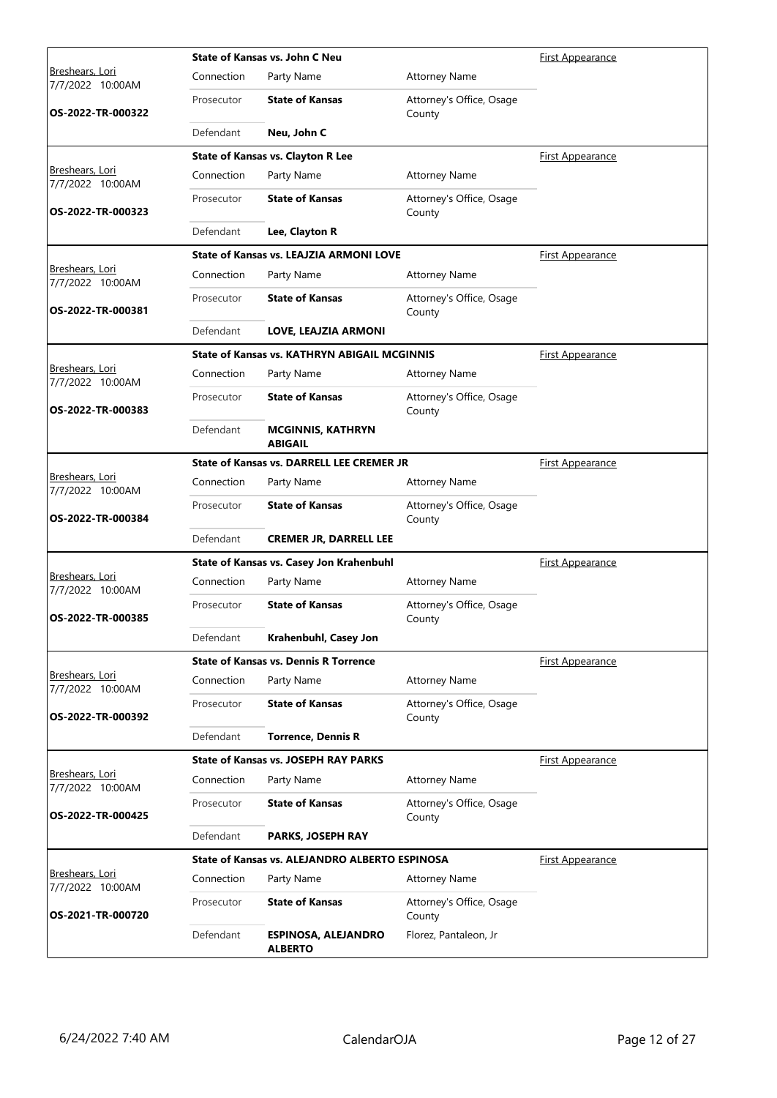|                                            |            | State of Kansas vs. John C Neu                 | <b>First Appearance</b>            |                         |
|--------------------------------------------|------------|------------------------------------------------|------------------------------------|-------------------------|
| <u>Breshears, Lori</u><br>7/7/2022 10:00AM | Connection | Party Name                                     | <b>Attorney Name</b>               |                         |
| OS-2022-TR-000322                          | Prosecutor | <b>State of Kansas</b>                         | Attorney's Office, Osage<br>County |                         |
|                                            | Defendant  | Neu, John C                                    |                                    |                         |
|                                            |            | <b>State of Kansas vs. Clayton R Lee</b>       |                                    | <b>First Appearance</b> |
| Breshears, Lori<br>7/7/2022 10:00AM        | Connection | Party Name                                     | <b>Attorney Name</b>               |                         |
| OS-2022-TR-000323                          | Prosecutor | <b>State of Kansas</b>                         | Attorney's Office, Osage<br>County |                         |
|                                            | Defendant  | Lee, Clayton R                                 |                                    |                         |
|                                            |            | <b>State of Kansas vs. LEAJZIA ARMONI LOVE</b> |                                    | <b>First Appearance</b> |
| Breshears, Lori<br>7/7/2022 10:00AM        | Connection | Party Name                                     | <b>Attorney Name</b>               |                         |
| OS-2022-TR-000381                          | Prosecutor | <b>State of Kansas</b>                         | Attorney's Office, Osage<br>County |                         |
|                                            | Defendant  | LOVE, LEAJZIA ARMONI                           |                                    |                         |
|                                            |            | State of Kansas vs. KATHRYN ABIGAIL MCGINNIS   |                                    | First Appearance        |
| <u>Breshears, Lori</u><br>7/7/2022 10:00AM | Connection | Party Name                                     | <b>Attorney Name</b>               |                         |
| OS-2022-TR-000383                          | Prosecutor | <b>State of Kansas</b>                         | Attorney's Office, Osage<br>County |                         |
|                                            | Defendant  | <b>MCGINNIS, KATHRYN</b><br><b>ABIGAIL</b>     |                                    |                         |
|                                            |            | State of Kansas vs. DARRELL LEE CREMER JR      |                                    | <b>First Appearance</b> |
| Breshears, Lori<br>7/7/2022 10:00AM        | Connection | Party Name                                     | <b>Attorney Name</b>               |                         |
| OS-2022-TR-000384                          | Prosecutor | <b>State of Kansas</b>                         | Attorney's Office, Osage<br>County |                         |
|                                            | Defendant  | <b>CREMER JR, DARRELL LEE</b>                  |                                    |                         |
|                                            |            | State of Kansas vs. Casey Jon Krahenbuhl       |                                    | <b>First Appearance</b> |
| Breshears, Lori<br>7/7/2022 10:00AM        | Connection | Party Name                                     | <b>Attorney Name</b>               |                         |
| OS-2022-TR-000385                          | Prosecutor | <b>State of Kansas</b>                         | Attorney's Office, Osage<br>County |                         |
|                                            | Defendant  | Krahenbuhl, Casey Jon                          |                                    |                         |
|                                            |            | <b>State of Kansas vs. Dennis R Torrence</b>   |                                    | <u>First Appearance</u> |
| Breshears, Lori<br>7/7/2022 10:00AM        | Connection | Party Name                                     | <b>Attorney Name</b>               |                         |
| OS-2022-TR-000392                          | Prosecutor | <b>State of Kansas</b>                         | Attorney's Office, Osage<br>County |                         |
|                                            | Defendant  | <b>Torrence, Dennis R</b>                      |                                    |                         |
|                                            |            | <b>State of Kansas vs. JOSEPH RAY PARKS</b>    |                                    | <b>First Appearance</b> |
| Breshears, Lori<br>7/7/2022 10:00AM        | Connection | Party Name                                     | <b>Attorney Name</b>               |                         |
| OS-2022-TR-000425                          | Prosecutor | <b>State of Kansas</b>                         | Attorney's Office, Osage<br>County |                         |
|                                            | Defendant  | PARKS, JOSEPH RAY                              |                                    |                         |
|                                            |            | State of Kansas vs. ALEJANDRO ALBERTO ESPINOSA |                                    | <b>First Appearance</b> |
| Breshears, Lori<br>7/7/2022 10:00AM        | Connection | Party Name                                     | <b>Attorney Name</b>               |                         |
| OS-2021-TR-000720                          | Prosecutor | <b>State of Kansas</b>                         | Attorney's Office, Osage<br>County |                         |
|                                            | Defendant  | <b>ESPINOSA, ALEJANDRO</b><br><b>ALBERTO</b>   | Florez, Pantaleon, Jr              |                         |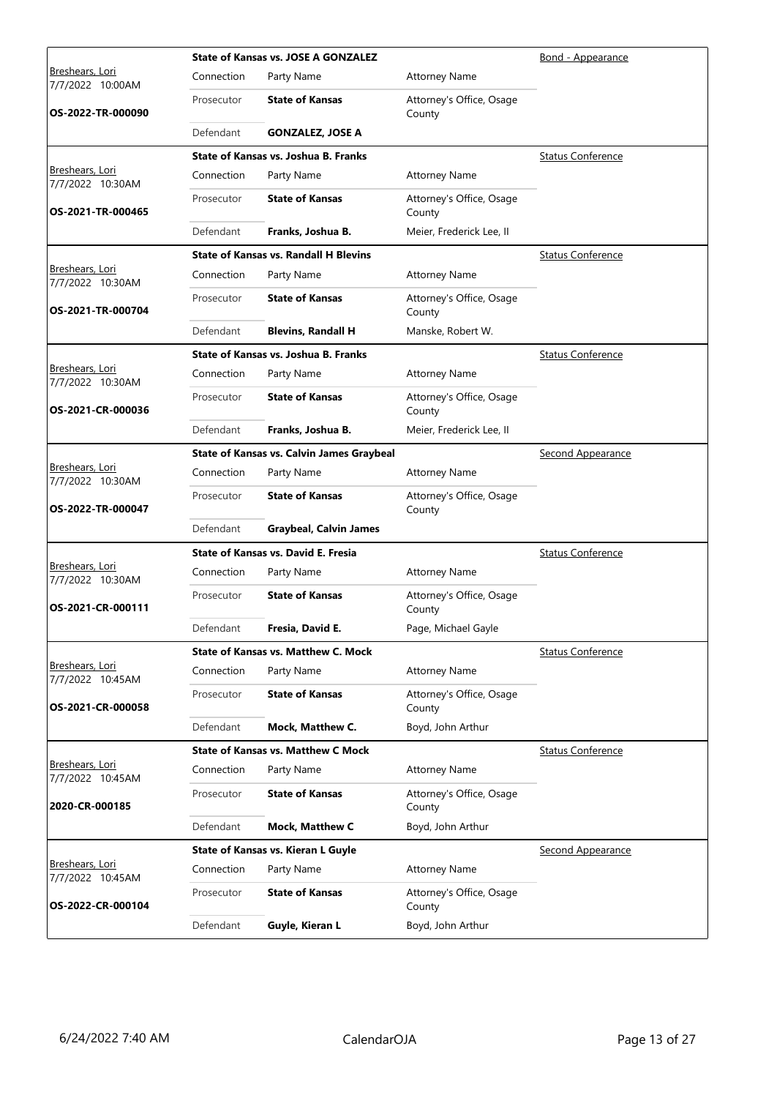|                                            |            | <b>State of Kansas vs. JOSE A GONZALEZ</b>       | Bond - Appearance                  |                          |
|--------------------------------------------|------------|--------------------------------------------------|------------------------------------|--------------------------|
| <u>Breshears, Lori</u><br>7/7/2022 10:00AM | Connection | Party Name                                       | <b>Attorney Name</b>               |                          |
| OS-2022-TR-000090                          | Prosecutor | <b>State of Kansas</b>                           | Attorney's Office, Osage<br>County |                          |
|                                            | Defendant  | <b>GONZALEZ, JOSE A</b>                          |                                    |                          |
|                                            |            | State of Kansas vs. Joshua B. Franks             |                                    | <b>Status Conference</b> |
| Breshears, Lori<br>7/7/2022 10:30AM        | Connection | Party Name                                       | <b>Attorney Name</b>               |                          |
| OS-2021-TR-000465                          | Prosecutor | <b>State of Kansas</b>                           | Attorney's Office, Osage<br>County |                          |
|                                            | Defendant  | Franks, Joshua B.                                | Meier, Frederick Lee, II           |                          |
|                                            |            | <b>State of Kansas vs. Randall H Blevins</b>     |                                    | <b>Status Conference</b> |
| Breshears, Lori<br>7/7/2022 10:30AM        | Connection | Party Name                                       | <b>Attorney Name</b>               |                          |
| OS-2021-TR-000704                          | Prosecutor | <b>State of Kansas</b>                           | Attorney's Office, Osage<br>County |                          |
|                                            | Defendant  | <b>Blevins, Randall H</b>                        | Manske, Robert W.                  |                          |
|                                            |            | State of Kansas vs. Joshua B. Franks             |                                    | <b>Status Conference</b> |
| <u>Breshears, Lori</u><br>7/7/2022 10:30AM | Connection | Party Name                                       | <b>Attorney Name</b>               |                          |
| OS-2021-CR-000036                          | Prosecutor | <b>State of Kansas</b>                           | Attorney's Office, Osage<br>County |                          |
|                                            | Defendant  | Franks, Joshua B.                                | Meier, Frederick Lee, II           |                          |
|                                            |            | <b>State of Kansas vs. Calvin James Graybeal</b> |                                    | <b>Second Appearance</b> |
| Breshears, Lori<br>7/7/2022 10:30AM        | Connection | Party Name                                       | <b>Attorney Name</b>               |                          |
| OS-2022-TR-000047                          | Prosecutor | <b>State of Kansas</b>                           | Attorney's Office, Osage<br>County |                          |
|                                            | Defendant  | <b>Graybeal, Calvin James</b>                    |                                    |                          |
|                                            |            | <b>State of Kansas vs. David E. Fresia</b>       |                                    | <b>Status Conference</b> |
| Breshears, Lori<br>7/7/2022 10:30AM        | Connection | Party Name                                       | <b>Attorney Name</b>               |                          |
| OS-2021-CR-000111                          | Prosecutor | <b>State of Kansas</b>                           | Attorney's Office, Osage<br>County |                          |
|                                            | Defendant  | Fresia, David E.                                 | Page, Michael Gayle                |                          |
|                                            |            | <b>State of Kansas vs. Matthew C. Mock</b>       |                                    | <b>Status Conference</b> |
| Breshears, Lori<br>7/7/2022 10:45AM        | Connection | Party Name                                       | <b>Attorney Name</b>               |                          |
| OS-2021-CR-000058                          | Prosecutor | <b>State of Kansas</b>                           | Attorney's Office, Osage<br>County |                          |
|                                            | Defendant  | Mock, Matthew C.                                 | Boyd, John Arthur                  |                          |
|                                            |            | <b>State of Kansas vs. Matthew C Mock</b>        |                                    | <b>Status Conference</b> |
| Breshears, Lori<br>7/7/2022 10:45AM        | Connection | Party Name                                       | <b>Attorney Name</b>               |                          |
| 2020-CR-000185                             | Prosecutor | <b>State of Kansas</b>                           | Attorney's Office, Osage<br>County |                          |
|                                            | Defendant  | Mock, Matthew C                                  | Boyd, John Arthur                  |                          |
|                                            |            | State of Kansas vs. Kieran L Guyle               |                                    | Second Appearance        |
| <u>Breshears, Lori</u><br>7/7/2022 10:45AM | Connection | Party Name                                       | <b>Attorney Name</b>               |                          |
| OS-2022-CR-000104                          | Prosecutor | <b>State of Kansas</b>                           | Attorney's Office, Osage<br>County |                          |
|                                            | Defendant  | Guyle, Kieran L                                  | Boyd, John Arthur                  |                          |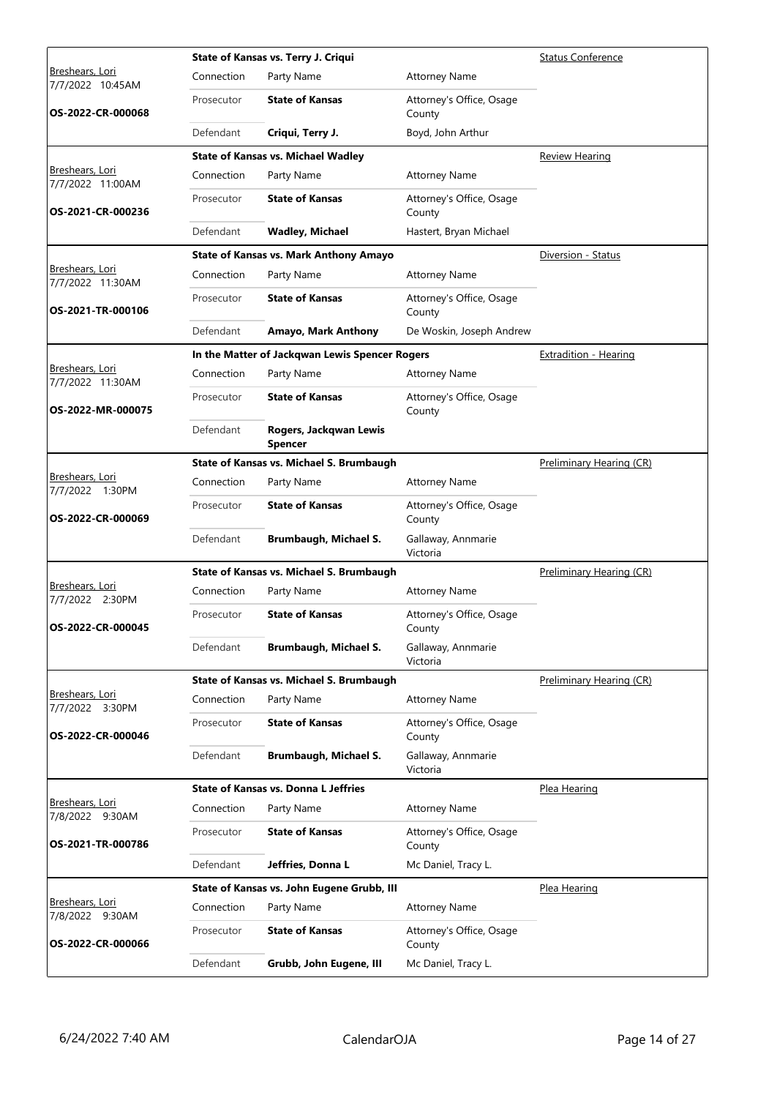|                                            |            | State of Kansas vs. Terry J. Criqui            | <b>Status Conference</b>           |                          |
|--------------------------------------------|------------|------------------------------------------------|------------------------------------|--------------------------|
| <u>Breshears, Lori</u><br>7/7/2022 10:45AM | Connection | Party Name                                     | <b>Attorney Name</b>               |                          |
| OS-2022-CR-000068                          | Prosecutor | <b>State of Kansas</b>                         | Attorney's Office, Osage<br>County |                          |
|                                            | Defendant  | Criqui, Terry J.                               | Boyd, John Arthur                  |                          |
|                                            |            | <b>State of Kansas vs. Michael Wadley</b>      |                                    | <b>Review Hearing</b>    |
| Breshears, Lori<br>7/7/2022 11:00AM        | Connection | Party Name                                     | <b>Attorney Name</b>               |                          |
| OS-2021-CR-000236                          | Prosecutor | <b>State of Kansas</b>                         | Attorney's Office, Osage<br>County |                          |
|                                            | Defendant  | <b>Wadley, Michael</b>                         | Hastert, Bryan Michael             |                          |
|                                            |            | <b>State of Kansas vs. Mark Anthony Amayo</b>  |                                    | Diversion - Status       |
| Breshears, Lori<br>7/7/2022 11:30AM        | Connection | Party Name                                     | <b>Attorney Name</b>               |                          |
| OS-2021-TR-000106                          | Prosecutor | <b>State of Kansas</b>                         | Attorney's Office, Osage<br>County |                          |
|                                            | Defendant  | Amayo, Mark Anthony                            | De Woskin, Joseph Andrew           |                          |
|                                            |            | In the Matter of Jackqwan Lewis Spencer Rogers |                                    | Extradition - Hearing    |
| <u>Breshears, Lori</u><br>7/7/2022 11:30AM | Connection | Party Name                                     | <b>Attorney Name</b>               |                          |
| OS-2022-MR-000075                          | Prosecutor | <b>State of Kansas</b>                         | Attorney's Office, Osage<br>County |                          |
|                                            | Defendant  | Rogers, Jackqwan Lewis<br>Spencer              |                                    |                          |
|                                            |            | State of Kansas vs. Michael S. Brumbaugh       |                                    | Preliminary Hearing (CR) |
| Breshears, Lori<br>7/7/2022 1:30PM         | Connection | Party Name                                     | <b>Attorney Name</b>               |                          |
| OS-2022-CR-000069                          | Prosecutor | <b>State of Kansas</b>                         | Attorney's Office, Osage<br>County |                          |
|                                            | Defendant  | Brumbaugh, Michael S.                          | Gallaway, Annmarie<br>Victoria     |                          |
|                                            |            | State of Kansas vs. Michael S. Brumbaugh       |                                    | Preliminary Hearing (CR) |
| Breshears, Lori<br>7/7/2022 2:30PM         | Connection | Party Name                                     | <b>Attorney Name</b>               |                          |
| OS-2022-CR-000045                          | Prosecutor | <b>State of Kansas</b>                         | Attorney's Office, Osage<br>County |                          |
|                                            | Defendant  | Brumbaugh, Michael S.                          | Gallaway, Annmarie<br>Victoria     |                          |
|                                            |            | State of Kansas vs. Michael S. Brumbaugh       |                                    | Preliminary Hearing (CR) |
| Breshears, Lori<br>7/7/2022 3:30PM         | Connection | Party Name                                     | <b>Attorney Name</b>               |                          |
| OS-2022-CR-000046                          | Prosecutor | <b>State of Kansas</b>                         | Attorney's Office, Osage<br>County |                          |
|                                            | Defendant  | Brumbaugh, Michael S.                          | Gallaway, Annmarie<br>Victoria     |                          |
|                                            |            | <b>State of Kansas vs. Donna L Jeffries</b>    |                                    | Plea Hearing             |
| Breshears, Lori<br>7/8/2022 9:30AM         | Connection | Party Name                                     | <b>Attorney Name</b>               |                          |
| OS-2021-TR-000786                          | Prosecutor | <b>State of Kansas</b>                         | Attorney's Office, Osage<br>County |                          |
|                                            | Defendant  | Jeffries, Donna L                              | Mc Daniel, Tracy L.                |                          |
|                                            |            | State of Kansas vs. John Eugene Grubb, III     |                                    | Plea Hearing             |
| Breshears, Lori<br>7/8/2022 9:30AM         | Connection | Party Name                                     | <b>Attorney Name</b>               |                          |
| OS-2022-CR-000066                          | Prosecutor | <b>State of Kansas</b>                         | Attorney's Office, Osage<br>County |                          |
|                                            | Defendant  | Grubb, John Eugene, III                        | Mc Daniel, Tracy L.                |                          |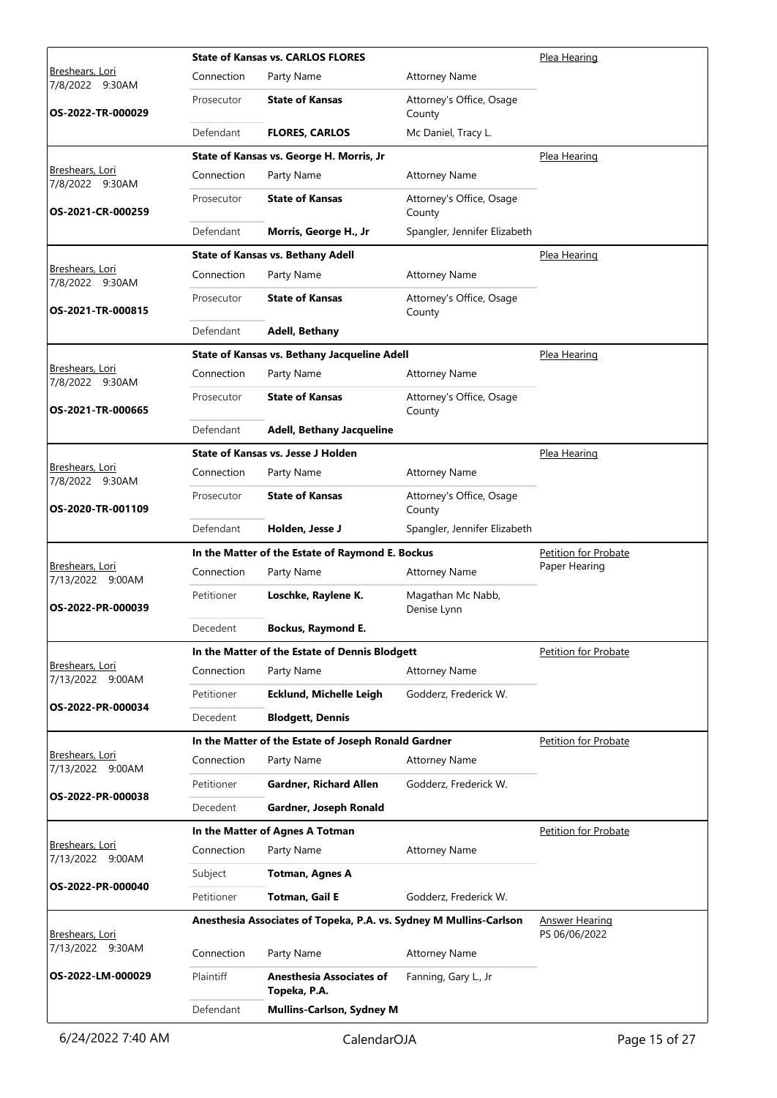|                                     |            | <b>State of Kansas vs. CARLOS FLORES</b>                           | Plea Hearing                       |                                        |
|-------------------------------------|------------|--------------------------------------------------------------------|------------------------------------|----------------------------------------|
| Breshears, Lori<br>7/8/2022 9:30AM  | Connection | Party Name                                                         | <b>Attorney Name</b>               |                                        |
| OS-2022-TR-000029                   | Prosecutor | <b>State of Kansas</b>                                             | Attorney's Office, Osage<br>County |                                        |
|                                     | Defendant  | <b>FLORES, CARLOS</b>                                              | Mc Daniel, Tracy L.                |                                        |
|                                     |            | State of Kansas vs. George H. Morris, Jr                           |                                    | Plea Hearing                           |
| Breshears, Lori<br>7/8/2022 9:30AM  | Connection | Party Name                                                         | <b>Attorney Name</b>               |                                        |
| OS-2021-CR-000259                   | Prosecutor | <b>State of Kansas</b>                                             | Attorney's Office, Osage<br>County |                                        |
|                                     | Defendant  | Morris, George H., Jr                                              | Spangler, Jennifer Elizabeth       |                                        |
|                                     |            | <b>State of Kansas vs. Bethany Adell</b>                           |                                    | Plea Hearing                           |
| Breshears, Lori<br>7/8/2022 9:30AM  | Connection | Party Name                                                         | <b>Attorney Name</b>               |                                        |
| OS-2021-TR-000815                   | Prosecutor | <b>State of Kansas</b>                                             | Attorney's Office, Osage<br>County |                                        |
|                                     | Defendant  | <b>Adell, Bethany</b>                                              |                                    |                                        |
|                                     |            | State of Kansas vs. Bethany Jacqueline Adell                       |                                    | Plea Hearing                           |
| Breshears, Lori<br>7/8/2022 9:30AM  | Connection | Party Name                                                         | <b>Attorney Name</b>               |                                        |
| OS-2021-TR-000665                   | Prosecutor | <b>State of Kansas</b>                                             | Attorney's Office, Osage<br>County |                                        |
|                                     | Defendant  | <b>Adell, Bethany Jacqueline</b>                                   |                                    |                                        |
|                                     |            | State of Kansas vs. Jesse J Holden                                 |                                    | Plea Hearing                           |
| Breshears, Lori<br>7/8/2022 9:30AM  | Connection | Party Name                                                         | <b>Attorney Name</b>               |                                        |
| OS-2020-TR-001109                   | Prosecutor | <b>State of Kansas</b>                                             | Attorney's Office, Osage<br>County |                                        |
|                                     | Defendant  | Holden, Jesse J                                                    | Spangler, Jennifer Elizabeth       |                                        |
|                                     |            | In the Matter of the Estate of Raymond E. Bockus                   |                                    | Petition for Probate                   |
| Breshears, Lori<br>7/13/2022 9:00AM | Connection | Party Name                                                         | <b>Attorney Name</b>               | Paper Hearing                          |
|                                     |            |                                                                    | Magathan Mc Nabb,                  |                                        |
| OS-2022-PR-000039                   | Petitioner | Loschke, Raylene K.                                                | Denise Lynn                        |                                        |
|                                     | Decedent   | Bockus, Raymond E.                                                 |                                    |                                        |
|                                     |            | In the Matter of the Estate of Dennis Blodgett                     |                                    | Petition for Probate                   |
| Breshears, Lori<br>7/13/2022 9:00AM | Connection | Party Name                                                         | <b>Attorney Name</b>               |                                        |
|                                     | Petitioner | <b>Ecklund, Michelle Leigh</b>                                     | Godderz, Frederick W.              |                                        |
| OS-2022-PR-000034                   | Decedent   | <b>Blodgett, Dennis</b>                                            |                                    |                                        |
|                                     |            | In the Matter of the Estate of Joseph Ronald Gardner               |                                    | Petition for Probate                   |
| Breshears, Lori<br>7/13/2022 9:00AM | Connection | Party Name                                                         | <b>Attorney Name</b>               |                                        |
|                                     | Petitioner | Gardner, Richard Allen                                             | Godderz, Frederick W.              |                                        |
| OS-2022-PR-000038                   | Decedent   | Gardner, Joseph Ronald                                             |                                    |                                        |
|                                     |            | In the Matter of Agnes A Totman                                    |                                    | <b>Petition for Probate</b>            |
| Breshears, Lori<br>7/13/2022 9:00AM | Connection | Party Name                                                         | <b>Attorney Name</b>               |                                        |
|                                     | Subject    | <b>Totman, Agnes A</b>                                             |                                    |                                        |
| OS-2022-PR-000040                   | Petitioner | Totman, Gail E                                                     | Godderz, Frederick W.              |                                        |
| Breshears, Lori                     |            | Anesthesia Associates of Topeka, P.A. vs. Sydney M Mullins-Carlson |                                    | <b>Answer Hearing</b><br>PS 06/06/2022 |
| 7/13/2022 9:30AM                    | Connection | Party Name                                                         | <b>Attorney Name</b>               |                                        |
| OS-2022-LM-000029                   | Plaintiff  | Anesthesia Associates of<br>Topeka, P.A.                           | Fanning, Gary L., Jr               |                                        |
|                                     | Defendant  | <b>Mullins-Carlson, Sydney M</b>                                   |                                    |                                        |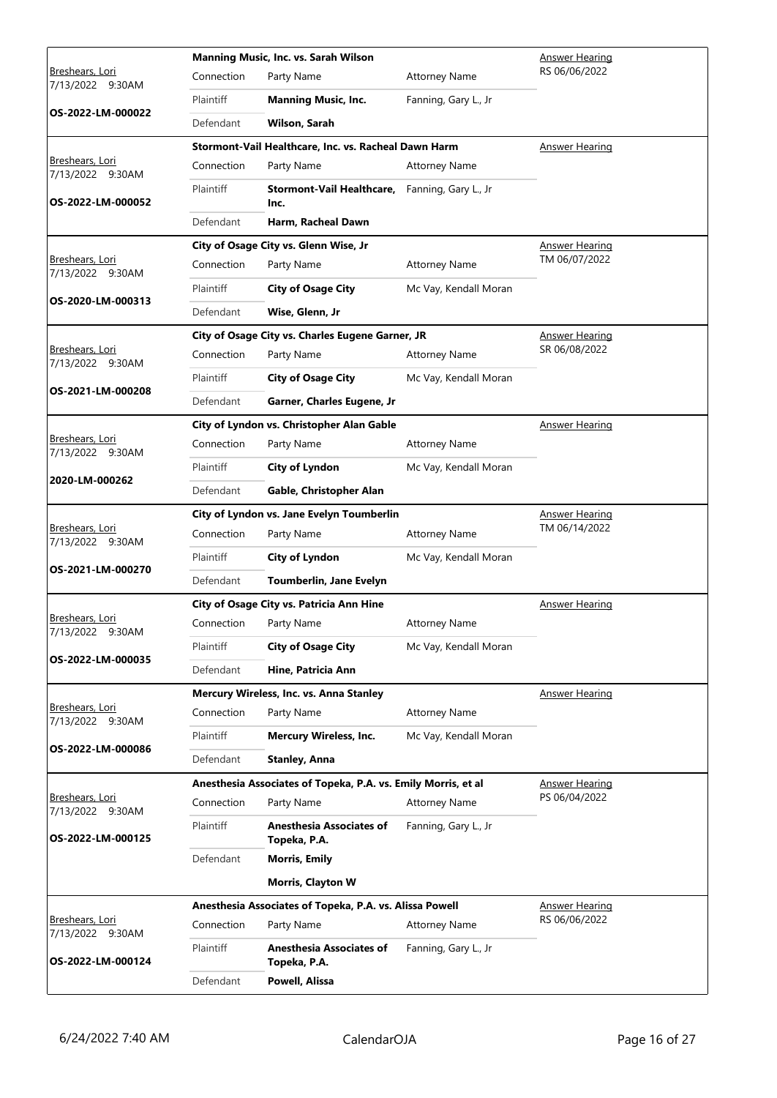| Connection<br>Party Name<br><b>Attorney Name</b><br>7/13/2022 9:30AM<br>Plaintiff<br><b>Manning Music, Inc.</b><br>Fanning, Gary L., Jr<br>OS-2022-LM-000022<br>Defendant<br>Wilson, Sarah<br>Stormont-Vail Healthcare, Inc. vs. Racheal Dawn Harm<br><b>Answer Hearing</b><br>Breshears, Lori<br>Connection<br>Party Name<br><b>Attorney Name</b><br>7/13/2022 9:30AM<br>Plaintiff<br>Stormont-Vail Healthcare, Fanning, Gary L., Jr<br>OS-2022-LM-000052<br>Inc.<br>Defendant<br>Harm, Racheal Dawn<br>City of Osage City vs. Glenn Wise, Jr<br><b>Answer Hearing</b><br>TM 06/07/2022<br>Breshears, Lori<br>Connection<br>Party Name<br><b>Attorney Name</b><br>7/13/2022 9:30AM<br>Plaintiff<br><b>City of Osage City</b><br>Mc Vay, Kendall Moran<br>OS-2020-LM-000313<br>Wise, Glenn, Jr<br>Defendant<br>City of Osage City vs. Charles Eugene Garner, JR<br><b>Answer Hearing</b><br>SR 06/08/2022<br>Breshears, Lori<br>Connection<br>Party Name<br><b>Attorney Name</b><br>7/13/2022 9:30AM<br>Plaintiff<br><b>City of Osage City</b><br>Mc Vay, Kendall Moran<br>OS-2021-LM-000208<br>Defendant<br>Garner, Charles Eugene, Jr<br>City of Lyndon vs. Christopher Alan Gable<br>Answer Hearing<br>Breshears, Lori<br>Connection<br>Party Name<br><b>Attorney Name</b><br>7/13/2022 9:30AM<br>Plaintiff<br>City of Lyndon<br>Mc Vay, Kendall Moran<br>2020-LM-000262<br>Defendant<br>Gable, Christopher Alan<br>City of Lyndon vs. Jane Evelyn Toumberlin<br><b>Answer Hearing</b><br>Breshears, Lori<br>TM 06/14/2022<br>Connection<br>Party Name<br><b>Attorney Name</b><br>7/13/2022 9:30AM<br>Plaintiff<br>City of Lyndon<br>Mc Vay, Kendall Moran<br>OS-2021-LM-000270<br>Defendant<br>Toumberlin, Jane Evelyn<br>City of Osage City vs. Patricia Ann Hine<br><b>Answer Hearing</b><br>Breshears, Lori<br>Connection<br>Party Name<br><b>Attorney Name</b><br>7/13/2022 9:30AM<br>Plaintiff<br><b>City of Osage City</b><br>Mc Vay, Kendall Moran<br>OS-2022-LM-000035<br>Defendant<br>Hine, Patricia Ann<br>Mercury Wireless, Inc. vs. Anna Stanley<br><b>Answer Hearing</b><br>Breshears, Lori<br>Connection<br>Party Name<br><b>Attorney Name</b><br>7/13/2022 9:30AM<br>Plaintiff<br><b>Mercury Wireless, Inc.</b><br>Mc Vay, Kendall Moran<br>OS-2022-LM-000086<br>Defendant<br><b>Stanley, Anna</b> |                 | Manning Music, Inc. vs. Sarah Wilson | <b>Answer Hearing</b> |               |
|-----------------------------------------------------------------------------------------------------------------------------------------------------------------------------------------------------------------------------------------------------------------------------------------------------------------------------------------------------------------------------------------------------------------------------------------------------------------------------------------------------------------------------------------------------------------------------------------------------------------------------------------------------------------------------------------------------------------------------------------------------------------------------------------------------------------------------------------------------------------------------------------------------------------------------------------------------------------------------------------------------------------------------------------------------------------------------------------------------------------------------------------------------------------------------------------------------------------------------------------------------------------------------------------------------------------------------------------------------------------------------------------------------------------------------------------------------------------------------------------------------------------------------------------------------------------------------------------------------------------------------------------------------------------------------------------------------------------------------------------------------------------------------------------------------------------------------------------------------------------------------------------------------------------------------------------------------------------------------------------------------------------------------------------------------------------------------------------------------------------------------------------------------------------------------------------------------------------------------------------------------------------------------------------------------------------------|-----------------|--------------------------------------|-----------------------|---------------|
|                                                                                                                                                                                                                                                                                                                                                                                                                                                                                                                                                                                                                                                                                                                                                                                                                                                                                                                                                                                                                                                                                                                                                                                                                                                                                                                                                                                                                                                                                                                                                                                                                                                                                                                                                                                                                                                                                                                                                                                                                                                                                                                                                                                                                                                                                                                       | Breshears, Lori |                                      |                       | RS 06/06/2022 |
|                                                                                                                                                                                                                                                                                                                                                                                                                                                                                                                                                                                                                                                                                                                                                                                                                                                                                                                                                                                                                                                                                                                                                                                                                                                                                                                                                                                                                                                                                                                                                                                                                                                                                                                                                                                                                                                                                                                                                                                                                                                                                                                                                                                                                                                                                                                       |                 |                                      |                       |               |
|                                                                                                                                                                                                                                                                                                                                                                                                                                                                                                                                                                                                                                                                                                                                                                                                                                                                                                                                                                                                                                                                                                                                                                                                                                                                                                                                                                                                                                                                                                                                                                                                                                                                                                                                                                                                                                                                                                                                                                                                                                                                                                                                                                                                                                                                                                                       |                 |                                      |                       |               |
|                                                                                                                                                                                                                                                                                                                                                                                                                                                                                                                                                                                                                                                                                                                                                                                                                                                                                                                                                                                                                                                                                                                                                                                                                                                                                                                                                                                                                                                                                                                                                                                                                                                                                                                                                                                                                                                                                                                                                                                                                                                                                                                                                                                                                                                                                                                       |                 |                                      |                       |               |
|                                                                                                                                                                                                                                                                                                                                                                                                                                                                                                                                                                                                                                                                                                                                                                                                                                                                                                                                                                                                                                                                                                                                                                                                                                                                                                                                                                                                                                                                                                                                                                                                                                                                                                                                                                                                                                                                                                                                                                                                                                                                                                                                                                                                                                                                                                                       |                 |                                      |                       |               |
|                                                                                                                                                                                                                                                                                                                                                                                                                                                                                                                                                                                                                                                                                                                                                                                                                                                                                                                                                                                                                                                                                                                                                                                                                                                                                                                                                                                                                                                                                                                                                                                                                                                                                                                                                                                                                                                                                                                                                                                                                                                                                                                                                                                                                                                                                                                       |                 |                                      |                       |               |
|                                                                                                                                                                                                                                                                                                                                                                                                                                                                                                                                                                                                                                                                                                                                                                                                                                                                                                                                                                                                                                                                                                                                                                                                                                                                                                                                                                                                                                                                                                                                                                                                                                                                                                                                                                                                                                                                                                                                                                                                                                                                                                                                                                                                                                                                                                                       |                 |                                      |                       |               |
|                                                                                                                                                                                                                                                                                                                                                                                                                                                                                                                                                                                                                                                                                                                                                                                                                                                                                                                                                                                                                                                                                                                                                                                                                                                                                                                                                                                                                                                                                                                                                                                                                                                                                                                                                                                                                                                                                                                                                                                                                                                                                                                                                                                                                                                                                                                       |                 |                                      |                       |               |
|                                                                                                                                                                                                                                                                                                                                                                                                                                                                                                                                                                                                                                                                                                                                                                                                                                                                                                                                                                                                                                                                                                                                                                                                                                                                                                                                                                                                                                                                                                                                                                                                                                                                                                                                                                                                                                                                                                                                                                                                                                                                                                                                                                                                                                                                                                                       |                 |                                      |                       |               |
|                                                                                                                                                                                                                                                                                                                                                                                                                                                                                                                                                                                                                                                                                                                                                                                                                                                                                                                                                                                                                                                                                                                                                                                                                                                                                                                                                                                                                                                                                                                                                                                                                                                                                                                                                                                                                                                                                                                                                                                                                                                                                                                                                                                                                                                                                                                       |                 |                                      |                       |               |
|                                                                                                                                                                                                                                                                                                                                                                                                                                                                                                                                                                                                                                                                                                                                                                                                                                                                                                                                                                                                                                                                                                                                                                                                                                                                                                                                                                                                                                                                                                                                                                                                                                                                                                                                                                                                                                                                                                                                                                                                                                                                                                                                                                                                                                                                                                                       |                 |                                      |                       |               |
|                                                                                                                                                                                                                                                                                                                                                                                                                                                                                                                                                                                                                                                                                                                                                                                                                                                                                                                                                                                                                                                                                                                                                                                                                                                                                                                                                                                                                                                                                                                                                                                                                                                                                                                                                                                                                                                                                                                                                                                                                                                                                                                                                                                                                                                                                                                       |                 |                                      |                       |               |
|                                                                                                                                                                                                                                                                                                                                                                                                                                                                                                                                                                                                                                                                                                                                                                                                                                                                                                                                                                                                                                                                                                                                                                                                                                                                                                                                                                                                                                                                                                                                                                                                                                                                                                                                                                                                                                                                                                                                                                                                                                                                                                                                                                                                                                                                                                                       |                 |                                      |                       |               |
|                                                                                                                                                                                                                                                                                                                                                                                                                                                                                                                                                                                                                                                                                                                                                                                                                                                                                                                                                                                                                                                                                                                                                                                                                                                                                                                                                                                                                                                                                                                                                                                                                                                                                                                                                                                                                                                                                                                                                                                                                                                                                                                                                                                                                                                                                                                       |                 |                                      |                       |               |
|                                                                                                                                                                                                                                                                                                                                                                                                                                                                                                                                                                                                                                                                                                                                                                                                                                                                                                                                                                                                                                                                                                                                                                                                                                                                                                                                                                                                                                                                                                                                                                                                                                                                                                                                                                                                                                                                                                                                                                                                                                                                                                                                                                                                                                                                                                                       |                 |                                      |                       |               |
|                                                                                                                                                                                                                                                                                                                                                                                                                                                                                                                                                                                                                                                                                                                                                                                                                                                                                                                                                                                                                                                                                                                                                                                                                                                                                                                                                                                                                                                                                                                                                                                                                                                                                                                                                                                                                                                                                                                                                                                                                                                                                                                                                                                                                                                                                                                       |                 |                                      |                       |               |
|                                                                                                                                                                                                                                                                                                                                                                                                                                                                                                                                                                                                                                                                                                                                                                                                                                                                                                                                                                                                                                                                                                                                                                                                                                                                                                                                                                                                                                                                                                                                                                                                                                                                                                                                                                                                                                                                                                                                                                                                                                                                                                                                                                                                                                                                                                                       |                 |                                      |                       |               |
|                                                                                                                                                                                                                                                                                                                                                                                                                                                                                                                                                                                                                                                                                                                                                                                                                                                                                                                                                                                                                                                                                                                                                                                                                                                                                                                                                                                                                                                                                                                                                                                                                                                                                                                                                                                                                                                                                                                                                                                                                                                                                                                                                                                                                                                                                                                       |                 |                                      |                       |               |
|                                                                                                                                                                                                                                                                                                                                                                                                                                                                                                                                                                                                                                                                                                                                                                                                                                                                                                                                                                                                                                                                                                                                                                                                                                                                                                                                                                                                                                                                                                                                                                                                                                                                                                                                                                                                                                                                                                                                                                                                                                                                                                                                                                                                                                                                                                                       |                 |                                      |                       |               |
|                                                                                                                                                                                                                                                                                                                                                                                                                                                                                                                                                                                                                                                                                                                                                                                                                                                                                                                                                                                                                                                                                                                                                                                                                                                                                                                                                                                                                                                                                                                                                                                                                                                                                                                                                                                                                                                                                                                                                                                                                                                                                                                                                                                                                                                                                                                       |                 |                                      |                       |               |
|                                                                                                                                                                                                                                                                                                                                                                                                                                                                                                                                                                                                                                                                                                                                                                                                                                                                                                                                                                                                                                                                                                                                                                                                                                                                                                                                                                                                                                                                                                                                                                                                                                                                                                                                                                                                                                                                                                                                                                                                                                                                                                                                                                                                                                                                                                                       |                 |                                      |                       |               |
|                                                                                                                                                                                                                                                                                                                                                                                                                                                                                                                                                                                                                                                                                                                                                                                                                                                                                                                                                                                                                                                                                                                                                                                                                                                                                                                                                                                                                                                                                                                                                                                                                                                                                                                                                                                                                                                                                                                                                                                                                                                                                                                                                                                                                                                                                                                       |                 |                                      |                       |               |
|                                                                                                                                                                                                                                                                                                                                                                                                                                                                                                                                                                                                                                                                                                                                                                                                                                                                                                                                                                                                                                                                                                                                                                                                                                                                                                                                                                                                                                                                                                                                                                                                                                                                                                                                                                                                                                                                                                                                                                                                                                                                                                                                                                                                                                                                                                                       |                 |                                      |                       |               |
|                                                                                                                                                                                                                                                                                                                                                                                                                                                                                                                                                                                                                                                                                                                                                                                                                                                                                                                                                                                                                                                                                                                                                                                                                                                                                                                                                                                                                                                                                                                                                                                                                                                                                                                                                                                                                                                                                                                                                                                                                                                                                                                                                                                                                                                                                                                       |                 |                                      |                       |               |
|                                                                                                                                                                                                                                                                                                                                                                                                                                                                                                                                                                                                                                                                                                                                                                                                                                                                                                                                                                                                                                                                                                                                                                                                                                                                                                                                                                                                                                                                                                                                                                                                                                                                                                                                                                                                                                                                                                                                                                                                                                                                                                                                                                                                                                                                                                                       |                 |                                      |                       |               |
|                                                                                                                                                                                                                                                                                                                                                                                                                                                                                                                                                                                                                                                                                                                                                                                                                                                                                                                                                                                                                                                                                                                                                                                                                                                                                                                                                                                                                                                                                                                                                                                                                                                                                                                                                                                                                                                                                                                                                                                                                                                                                                                                                                                                                                                                                                                       |                 |                                      |                       |               |
|                                                                                                                                                                                                                                                                                                                                                                                                                                                                                                                                                                                                                                                                                                                                                                                                                                                                                                                                                                                                                                                                                                                                                                                                                                                                                                                                                                                                                                                                                                                                                                                                                                                                                                                                                                                                                                                                                                                                                                                                                                                                                                                                                                                                                                                                                                                       |                 |                                      |                       |               |
|                                                                                                                                                                                                                                                                                                                                                                                                                                                                                                                                                                                                                                                                                                                                                                                                                                                                                                                                                                                                                                                                                                                                                                                                                                                                                                                                                                                                                                                                                                                                                                                                                                                                                                                                                                                                                                                                                                                                                                                                                                                                                                                                                                                                                                                                                                                       |                 |                                      |                       |               |
|                                                                                                                                                                                                                                                                                                                                                                                                                                                                                                                                                                                                                                                                                                                                                                                                                                                                                                                                                                                                                                                                                                                                                                                                                                                                                                                                                                                                                                                                                                                                                                                                                                                                                                                                                                                                                                                                                                                                                                                                                                                                                                                                                                                                                                                                                                                       |                 |                                      |                       |               |
|                                                                                                                                                                                                                                                                                                                                                                                                                                                                                                                                                                                                                                                                                                                                                                                                                                                                                                                                                                                                                                                                                                                                                                                                                                                                                                                                                                                                                                                                                                                                                                                                                                                                                                                                                                                                                                                                                                                                                                                                                                                                                                                                                                                                                                                                                                                       |                 |                                      |                       |               |
|                                                                                                                                                                                                                                                                                                                                                                                                                                                                                                                                                                                                                                                                                                                                                                                                                                                                                                                                                                                                                                                                                                                                                                                                                                                                                                                                                                                                                                                                                                                                                                                                                                                                                                                                                                                                                                                                                                                                                                                                                                                                                                                                                                                                                                                                                                                       |                 |                                      |                       |               |
| Anesthesia Associates of Topeka, P.A. vs. Emily Morris, et al<br><b>Answer Hearing</b>                                                                                                                                                                                                                                                                                                                                                                                                                                                                                                                                                                                                                                                                                                                                                                                                                                                                                                                                                                                                                                                                                                                                                                                                                                                                                                                                                                                                                                                                                                                                                                                                                                                                                                                                                                                                                                                                                                                                                                                                                                                                                                                                                                                                                                |                 |                                      |                       |               |
| PS 06/04/2022<br>Breshears, Lori<br>Connection<br>Party Name<br><b>Attorney Name</b><br>7/13/2022 9:30AM                                                                                                                                                                                                                                                                                                                                                                                                                                                                                                                                                                                                                                                                                                                                                                                                                                                                                                                                                                                                                                                                                                                                                                                                                                                                                                                                                                                                                                                                                                                                                                                                                                                                                                                                                                                                                                                                                                                                                                                                                                                                                                                                                                                                              |                 |                                      |                       |               |
| <b>Plaintiff</b><br><b>Anesthesia Associates of</b><br>Fanning, Gary L., Jr<br>OS-2022-LM-000125<br>Topeka, P.A.                                                                                                                                                                                                                                                                                                                                                                                                                                                                                                                                                                                                                                                                                                                                                                                                                                                                                                                                                                                                                                                                                                                                                                                                                                                                                                                                                                                                                                                                                                                                                                                                                                                                                                                                                                                                                                                                                                                                                                                                                                                                                                                                                                                                      |                 |                                      |                       |               |
| Defendant<br><b>Morris, Emily</b>                                                                                                                                                                                                                                                                                                                                                                                                                                                                                                                                                                                                                                                                                                                                                                                                                                                                                                                                                                                                                                                                                                                                                                                                                                                                                                                                                                                                                                                                                                                                                                                                                                                                                                                                                                                                                                                                                                                                                                                                                                                                                                                                                                                                                                                                                     |                 |                                      |                       |               |
| <b>Morris, Clayton W</b>                                                                                                                                                                                                                                                                                                                                                                                                                                                                                                                                                                                                                                                                                                                                                                                                                                                                                                                                                                                                                                                                                                                                                                                                                                                                                                                                                                                                                                                                                                                                                                                                                                                                                                                                                                                                                                                                                                                                                                                                                                                                                                                                                                                                                                                                                              |                 |                                      |                       |               |
| Anesthesia Associates of Topeka, P.A. vs. Alissa Powell<br><b>Answer Hearing</b>                                                                                                                                                                                                                                                                                                                                                                                                                                                                                                                                                                                                                                                                                                                                                                                                                                                                                                                                                                                                                                                                                                                                                                                                                                                                                                                                                                                                                                                                                                                                                                                                                                                                                                                                                                                                                                                                                                                                                                                                                                                                                                                                                                                                                                      |                 |                                      |                       |               |
| Breshears, Lori<br>RS 06/06/2022<br>Connection<br>Party Name<br><b>Attorney Name</b><br>7/13/2022 9:30AM                                                                                                                                                                                                                                                                                                                                                                                                                                                                                                                                                                                                                                                                                                                                                                                                                                                                                                                                                                                                                                                                                                                                                                                                                                                                                                                                                                                                                                                                                                                                                                                                                                                                                                                                                                                                                                                                                                                                                                                                                                                                                                                                                                                                              |                 |                                      |                       |               |
| <b>Anesthesia Associates of</b><br>Plaintiff<br>Fanning, Gary L., Jr<br>OS-2022-LM-000124<br>Topeka, P.A.                                                                                                                                                                                                                                                                                                                                                                                                                                                                                                                                                                                                                                                                                                                                                                                                                                                                                                                                                                                                                                                                                                                                                                                                                                                                                                                                                                                                                                                                                                                                                                                                                                                                                                                                                                                                                                                                                                                                                                                                                                                                                                                                                                                                             |                 |                                      |                       |               |
| Defendant<br>Powell, Alissa                                                                                                                                                                                                                                                                                                                                                                                                                                                                                                                                                                                                                                                                                                                                                                                                                                                                                                                                                                                                                                                                                                                                                                                                                                                                                                                                                                                                                                                                                                                                                                                                                                                                                                                                                                                                                                                                                                                                                                                                                                                                                                                                                                                                                                                                                           |                 |                                      |                       |               |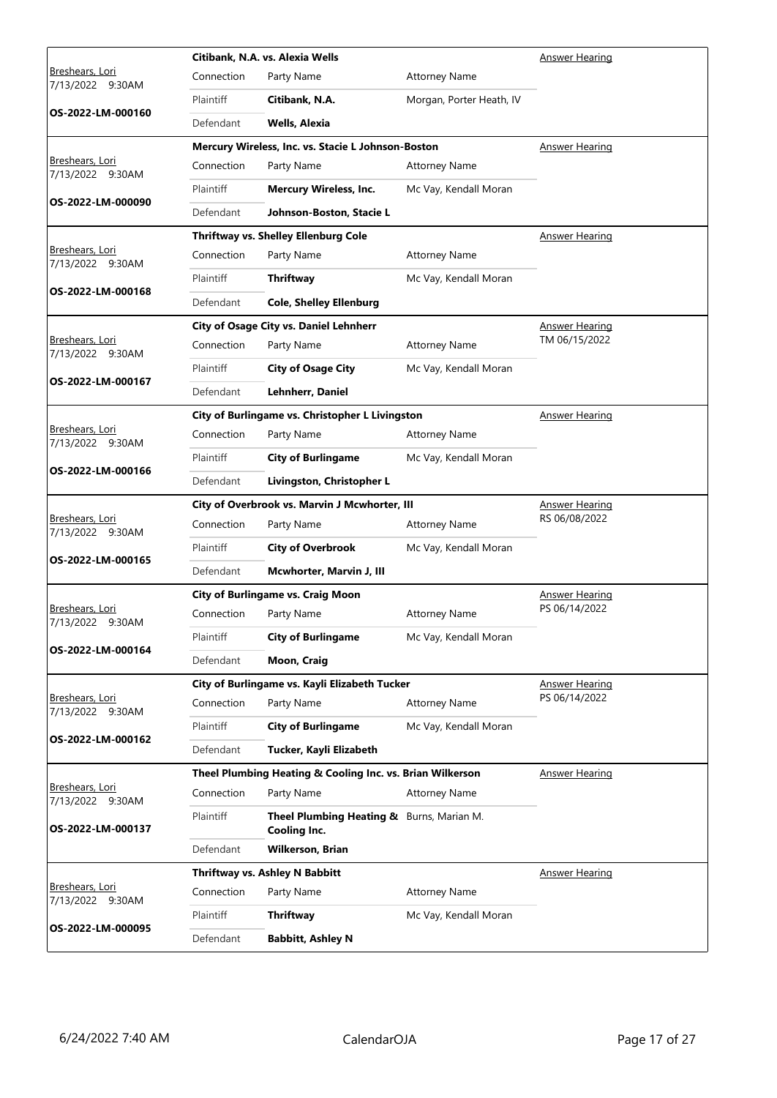|                                               | Citibank, N.A. vs. Alexia Wells   |                                                                  |                          | <b>Answer Hearing</b> |
|-----------------------------------------------|-----------------------------------|------------------------------------------------------------------|--------------------------|-----------------------|
| <u>Breshears, Lori</u><br>7/13/2022<br>9:30AM | Connection                        | Party Name                                                       | <b>Attorney Name</b>     |                       |
|                                               | Plaintiff                         | Citibank, N.A.                                                   | Morgan, Porter Heath, IV |                       |
| OS-2022-LM-000160                             | Defendant                         | Wells, Alexia                                                    |                          |                       |
|                                               |                                   | Mercury Wireless, Inc. vs. Stacie L Johnson-Boston               |                          | Answer Hearing        |
| Breshears, Lori<br>7/13/2022 9:30AM           | Connection                        | Party Name                                                       | <b>Attorney Name</b>     |                       |
|                                               | Plaintiff                         | <b>Mercury Wireless, Inc.</b>                                    | Mc Vay, Kendall Moran    |                       |
| OS-2022-LM-000090                             | Defendant                         | Johnson-Boston, Stacie L                                         |                          |                       |
|                                               |                                   | Thriftway vs. Shelley Ellenburg Cole                             |                          | <b>Answer Hearing</b> |
| Breshears, Lori<br>7/13/2022 9:30AM           | Connection                        | Party Name                                                       | <b>Attorney Name</b>     |                       |
|                                               | <b>Plaintiff</b>                  | Thriftway                                                        | Mc Vay, Kendall Moran    |                       |
| OS-2022-LM-000168                             | Defendant                         | <b>Cole, Shelley Ellenburg</b>                                   |                          |                       |
|                                               |                                   | City of Osage City vs. Daniel Lehnherr                           |                          | <b>Answer Hearing</b> |
| Breshears, Lori<br>7/13/2022 9:30AM           | Connection                        | Party Name                                                       | <b>Attorney Name</b>     | TM 06/15/2022         |
|                                               | Plaintiff                         | <b>City of Osage City</b>                                        | Mc Vay, Kendall Moran    |                       |
| OS-2022-LM-000167                             | Defendant                         | Lehnherr, Daniel                                                 |                          |                       |
|                                               |                                   | City of Burlingame vs. Christopher L Livingston                  |                          | <b>Answer Hearing</b> |
| Breshears, Lori<br>7/13/2022 9:30AM           | Connection                        | Party Name                                                       | <b>Attorney Name</b>     |                       |
|                                               | Plaintiff                         | <b>City of Burlingame</b>                                        | Mc Vay, Kendall Moran    |                       |
| OS-2022-LM-000166                             | Defendant                         | Livingston, Christopher L                                        |                          |                       |
|                                               |                                   | City of Overbrook vs. Marvin J Mcwhorter, III                    |                          | <b>Answer Hearing</b> |
| Breshears, Lori<br>7/13/2022 9:30AM           | Connection                        | Party Name                                                       | <b>Attorney Name</b>     | RS 06/08/2022         |
| OS-2022-LM-000165                             | Plaintiff                         | <b>City of Overbrook</b>                                         | Mc Vay, Kendall Moran    |                       |
|                                               | Defendant                         | Mcwhorter, Marvin J, III                                         |                          |                       |
|                                               | City of Burlingame vs. Craig Moon |                                                                  |                          | <b>Answer Hearing</b> |
| Breshears, Lori<br>7/13/2022 9:30AM           | Connection                        | Party Name                                                       | <b>Attorney Name</b>     | PS 06/14/2022         |
| OS-2022-LM-000164                             | Plaintiff                         | <b>City of Burlingame</b>                                        | Mc Vay, Kendall Moran    |                       |
|                                               | Defendant                         | Moon, Craig                                                      |                          |                       |
|                                               |                                   | City of Burlingame vs. Kayli Elizabeth Tucker                    |                          | <b>Answer Hearing</b> |
| Breshears, Lori<br>7/13/2022 9:30AM           | Connection                        | Party Name                                                       | <b>Attorney Name</b>     | PS 06/14/2022         |
| OS-2022-LM-000162                             | Plaintiff                         | <b>City of Burlingame</b>                                        | Mc Vay, Kendall Moran    |                       |
|                                               | Defendant                         | Tucker, Kayli Elizabeth                                          |                          |                       |
|                                               |                                   | Theel Plumbing Heating & Cooling Inc. vs. Brian Wilkerson        |                          | <b>Answer Hearing</b> |
| Breshears, Lori<br>7/13/2022 9:30AM           | Connection                        | Party Name                                                       | <b>Attorney Name</b>     |                       |
| OS-2022-LM-000137                             | Plaintiff                         | Theel Plumbing Heating & Burns, Marian M.<br><b>Cooling Inc.</b> |                          |                       |
|                                               | Defendant                         | <b>Wilkerson, Brian</b>                                          |                          |                       |
|                                               |                                   | Thriftway vs. Ashley N Babbitt                                   |                          | <b>Answer Hearing</b> |
| Breshears, Lori<br>7/13/2022 9:30AM           | Connection                        | Party Name                                                       | <b>Attorney Name</b>     |                       |
| OS-2022-LM-000095                             | Plaintiff                         | Thriftway                                                        | Mc Vay, Kendall Moran    |                       |
|                                               | Defendant                         | <b>Babbitt, Ashley N</b>                                         |                          |                       |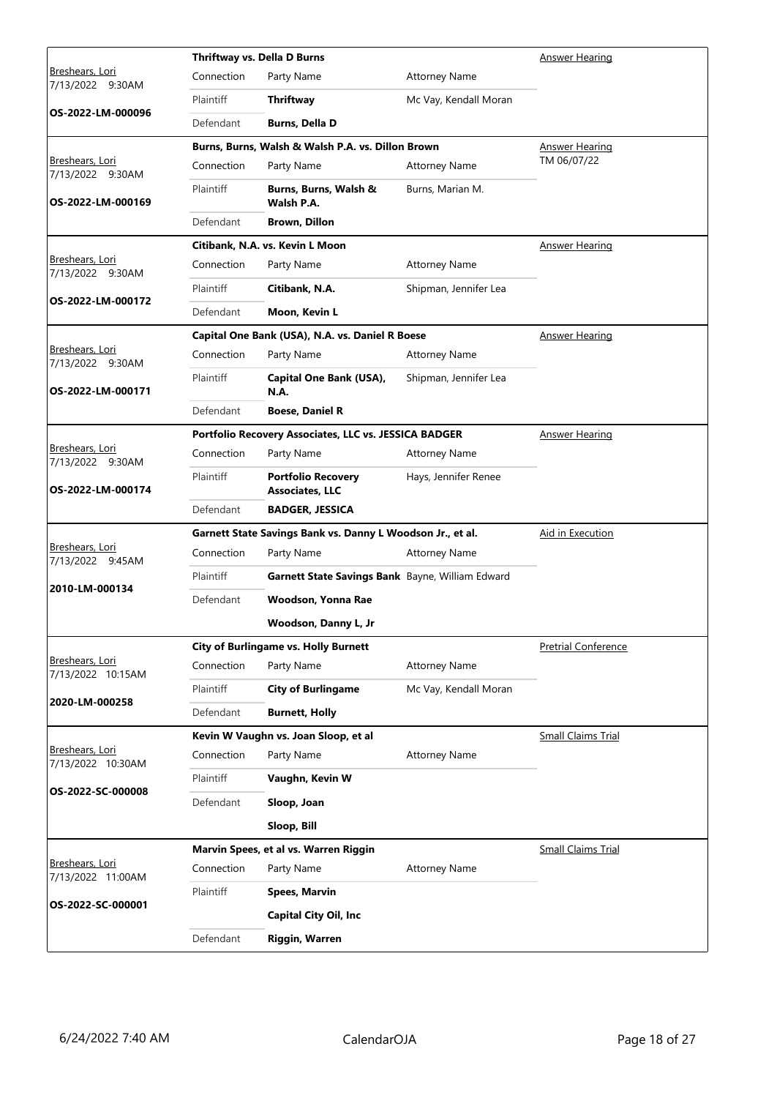|                                      |                  | Thriftway vs. Della D Burns                                | Answer Hearing        |                            |
|--------------------------------------|------------------|------------------------------------------------------------|-----------------------|----------------------------|
| Breshears, Lori<br>7/13/2022 9:30AM  | Connection       | Party Name                                                 | <b>Attorney Name</b>  |                            |
|                                      | Plaintiff        | Thriftway                                                  | Mc Vay, Kendall Moran |                            |
| OS-2022-LM-000096                    | Defendant        | <b>Burns, Della D</b>                                      |                       |                            |
|                                      |                  | Burns, Burns, Walsh & Walsh P.A. vs. Dillon Brown          |                       | Answer Hearing             |
| Breshears, Lori<br>7/13/2022 9:30AM  | Connection       | Party Name                                                 | <b>Attorney Name</b>  | TM 06/07/22                |
| OS-2022-LM-000169                    | Plaintiff        | Burns, Burns, Walsh &<br>Walsh P.A.                        | Burns, Marian M.      |                            |
|                                      | Defendant        | <b>Brown, Dillon</b>                                       |                       |                            |
|                                      |                  | Citibank, N.A. vs. Kevin L Moon                            |                       | <b>Answer Hearing</b>      |
| Breshears, Lori<br>7/13/2022 9:30AM  | Connection       | Party Name                                                 | <b>Attorney Name</b>  |                            |
|                                      | <b>Plaintiff</b> | Citibank, N.A.                                             | Shipman, Jennifer Lea |                            |
| OS-2022-LM-000172                    | Defendant        | Moon, Kevin L                                              |                       |                            |
|                                      |                  | Capital One Bank (USA), N.A. vs. Daniel R Boese            |                       | <b>Answer Hearing</b>      |
| Breshears, Lori<br>7/13/2022 9:30AM  | Connection       | Party Name                                                 | <b>Attorney Name</b>  |                            |
| OS-2022-LM-000171                    | Plaintiff        | Capital One Bank (USA),<br><b>N.A.</b>                     | Shipman, Jennifer Lea |                            |
|                                      | Defendant        | <b>Boese, Daniel R</b>                                     |                       |                            |
|                                      |                  | Portfolio Recovery Associates, LLC vs. JESSICA BADGER      |                       | <b>Answer Hearing</b>      |
| Breshears, Lori<br>7/13/2022 9:30AM  | Connection       | Party Name                                                 | <b>Attorney Name</b>  |                            |
| OS-2022-LM-000174                    | Plaintiff        | <b>Portfolio Recovery</b><br><b>Associates, LLC</b>        | Hays, Jennifer Renee  |                            |
|                                      | Defendant        | <b>BADGER, JESSICA</b>                                     |                       |                            |
|                                      |                  | Garnett State Savings Bank vs. Danny L Woodson Jr., et al. |                       | Aid in Execution           |
| Breshears, Lori<br>7/13/2022 9:45AM  | Connection       | Party Name                                                 | <b>Attorney Name</b>  |                            |
|                                      | Plaintiff        | Garnett State Savings Bank Bayne, William Edward           |                       |                            |
| 2010-LM-000134                       | Defendant        | Woodson, Yonna Rae                                         |                       |                            |
|                                      |                  | Woodson, Danny L, Jr                                       |                       |                            |
|                                      |                  | <b>City of Burlingame vs. Holly Burnett</b>                |                       | <b>Pretrial Conference</b> |
| Breshears, Lori<br>7/13/2022 10:15AM | Connection       | Party Name                                                 | <b>Attorney Name</b>  |                            |
|                                      | Plaintiff        | <b>City of Burlingame</b>                                  | Mc Vay, Kendall Moran |                            |
| 2020-LM-000258                       | Defendant        | <b>Burnett, Holly</b>                                      |                       |                            |
|                                      |                  | Kevin W Vaughn vs. Joan Sloop, et al                       |                       | <b>Small Claims Trial</b>  |
| Breshears, Lori<br>7/13/2022 10:30AM | Connection       | Party Name                                                 | <b>Attorney Name</b>  |                            |
|                                      | Plaintiff        | Vaughn, Kevin W                                            |                       |                            |
| OS-2022-SC-000008                    | Defendant        | Sloop, Joan                                                |                       |                            |
|                                      |                  | Sloop, Bill                                                |                       |                            |
|                                      |                  | Marvin Spees, et al vs. Warren Riggin                      |                       | <b>Small Claims Trial</b>  |
| Breshears, Lori<br>7/13/2022 11:00AM | Connection       | Party Name                                                 | <b>Attorney Name</b>  |                            |
|                                      | Plaintiff        | <b>Spees, Marvin</b>                                       |                       |                            |
| OS-2022-SC-000001                    |                  | <b>Capital City Oil, Inc</b>                               |                       |                            |
|                                      | Defendant        | Riggin, Warren                                             |                       |                            |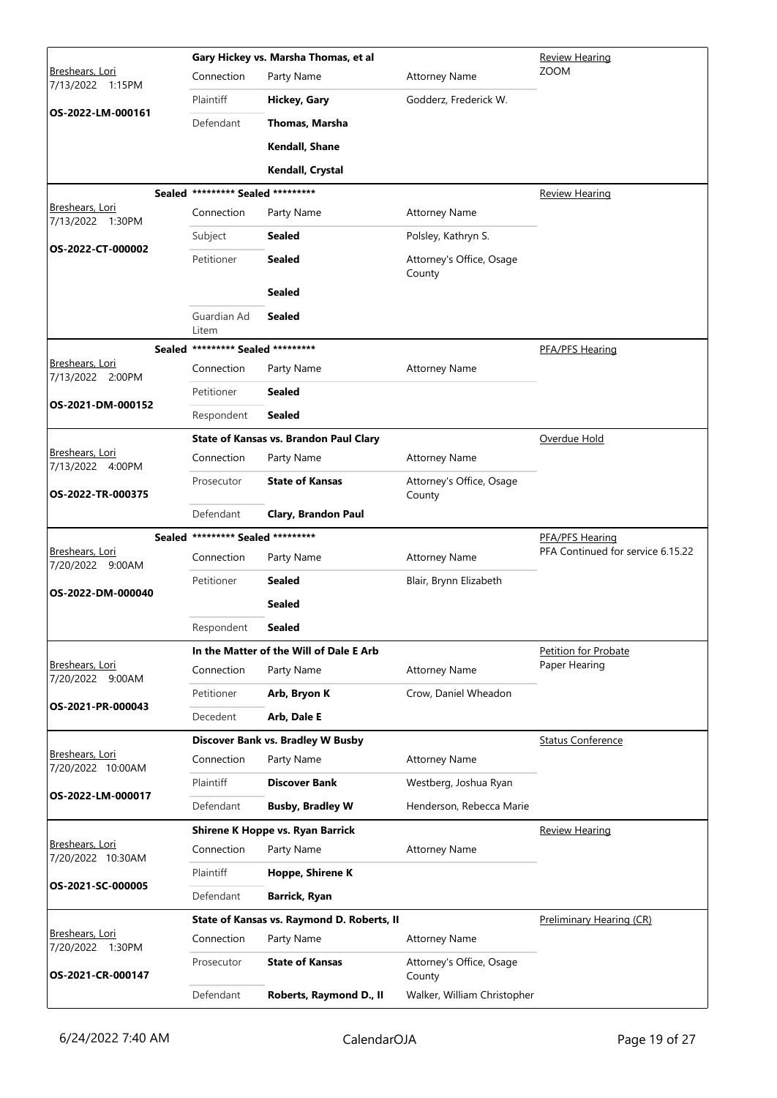|                                            | Gary Hickey vs. Marsha Thomas, et al |                                                   |                                                                   | <b>Review Hearing</b>             |
|--------------------------------------------|--------------------------------------|---------------------------------------------------|-------------------------------------------------------------------|-----------------------------------|
| Breshears, Lori<br>7/13/2022 1:15PM        | Connection                           | Party Name                                        | <b>Attorney Name</b>                                              | <b>ZOOM</b>                       |
|                                            | Plaintiff                            | Hickey, Gary                                      | Godderz, Frederick W.                                             |                                   |
| OS-2022-LM-000161                          | Defendant                            | Thomas, Marsha                                    |                                                                   |                                   |
|                                            |                                      | Kendall, Shane                                    |                                                                   |                                   |
|                                            |                                      | Kendall, Crystal                                  |                                                                   |                                   |
|                                            | Sealed ********* Sealed *********    |                                                   |                                                                   | <b>Review Hearing</b>             |
| <b>Breshears, Lori</b><br>7/13/2022 1:30PM | Connection                           | Party Name                                        | <b>Attorney Name</b>                                              |                                   |
|                                            | Subject                              | <b>Sealed</b>                                     | Polsley, Kathryn S.                                               |                                   |
| OS-2022-CT-000002                          | Petitioner                           | <b>Sealed</b>                                     | Attorney's Office, Osage<br>County                                |                                   |
|                                            |                                      | <b>Sealed</b>                                     |                                                                   |                                   |
|                                            | Guardian Ad<br>Litem                 | <b>Sealed</b>                                     |                                                                   |                                   |
|                                            | Sealed ********* Sealed *********    |                                                   |                                                                   | PFA/PFS Hearing                   |
| Breshears, Lori<br>7/13/2022 2:00PM        | Connection                           | Party Name                                        | <b>Attorney Name</b>                                              |                                   |
| OS-2021-DM-000152                          | Petitioner                           | <b>Sealed</b>                                     |                                                                   |                                   |
|                                            | Respondent                           | <b>Sealed</b>                                     |                                                                   |                                   |
|                                            |                                      | <b>State of Kansas vs. Brandon Paul Clary</b>     |                                                                   | Overdue Hold                      |
| Breshears, Lori<br>7/13/2022 4:00PM        | Connection                           | Party Name                                        | <b>Attorney Name</b>                                              |                                   |
| OS-2022-TR-000375                          | Prosecutor                           | <b>State of Kansas</b>                            | Attorney's Office, Osage<br>County                                |                                   |
|                                            | Defendant                            | Clary, Brandon Paul                               |                                                                   |                                   |
|                                            |                                      |                                                   |                                                                   |                                   |
|                                            | Sealed ********* Sealed *********    |                                                   |                                                                   | <b>PFA/PFS Hearing</b>            |
| Breshears, Lori<br>7/20/2022 9:00AM        | Connection                           | Party Name                                        | <b>Attorney Name</b>                                              | PFA Continued for service 6.15.22 |
| OS-2022-DM-000040                          | Petitioner                           | <b>Sealed</b>                                     | Blair, Brynn Elizabeth                                            |                                   |
|                                            |                                      | <b>Sealed</b>                                     |                                                                   |                                   |
|                                            | Respondent                           | Sealed                                            |                                                                   |                                   |
|                                            |                                      | In the Matter of the Will of Dale E Arb           |                                                                   | <b>Petition for Probate</b>       |
| Breshears, Lori<br>7/20/2022 9:00AM        | Connection                           | Party Name                                        | <b>Attorney Name</b>                                              | Paper Hearing                     |
|                                            | Petitioner                           | Arb, Bryon K                                      | Crow, Daniel Wheadon                                              |                                   |
| OS-2021-PR-000043                          | Decedent                             | Arb, Dale E                                       |                                                                   |                                   |
|                                            |                                      | <b>Discover Bank vs. Bradley W Busby</b>          |                                                                   | <b>Status Conference</b>          |
| Breshears, Lori<br>7/20/2022 10:00AM       | Connection                           | Party Name                                        | <b>Attorney Name</b>                                              |                                   |
|                                            | Plaintiff                            | <b>Discover Bank</b>                              | Westberg, Joshua Ryan                                             |                                   |
| OS-2022-LM-000017                          | Defendant                            | <b>Busby, Bradley W</b>                           | Henderson, Rebecca Marie                                          |                                   |
|                                            |                                      | Shirene K Hoppe vs. Ryan Barrick                  |                                                                   | <b>Review Hearing</b>             |
| Breshears, Lori<br>7/20/2022 10:30AM       | Connection                           | Party Name                                        | <b>Attorney Name</b>                                              |                                   |
| OS-2021-SC-000005                          | Plaintiff                            | Hoppe, Shirene K                                  |                                                                   |                                   |
|                                            | Defendant                            | Barrick, Ryan                                     |                                                                   |                                   |
|                                            |                                      | State of Kansas vs. Raymond D. Roberts, II        |                                                                   | Preliminary Hearing (CR)          |
| Breshears, Lori<br>7/20/2022 1:30PM        | Connection                           | Party Name                                        | <b>Attorney Name</b>                                              |                                   |
| OS-2021-CR-000147                          | Prosecutor<br>Defendant              | <b>State of Kansas</b><br>Roberts, Raymond D., II | Attorney's Office, Osage<br>County<br>Walker, William Christopher |                                   |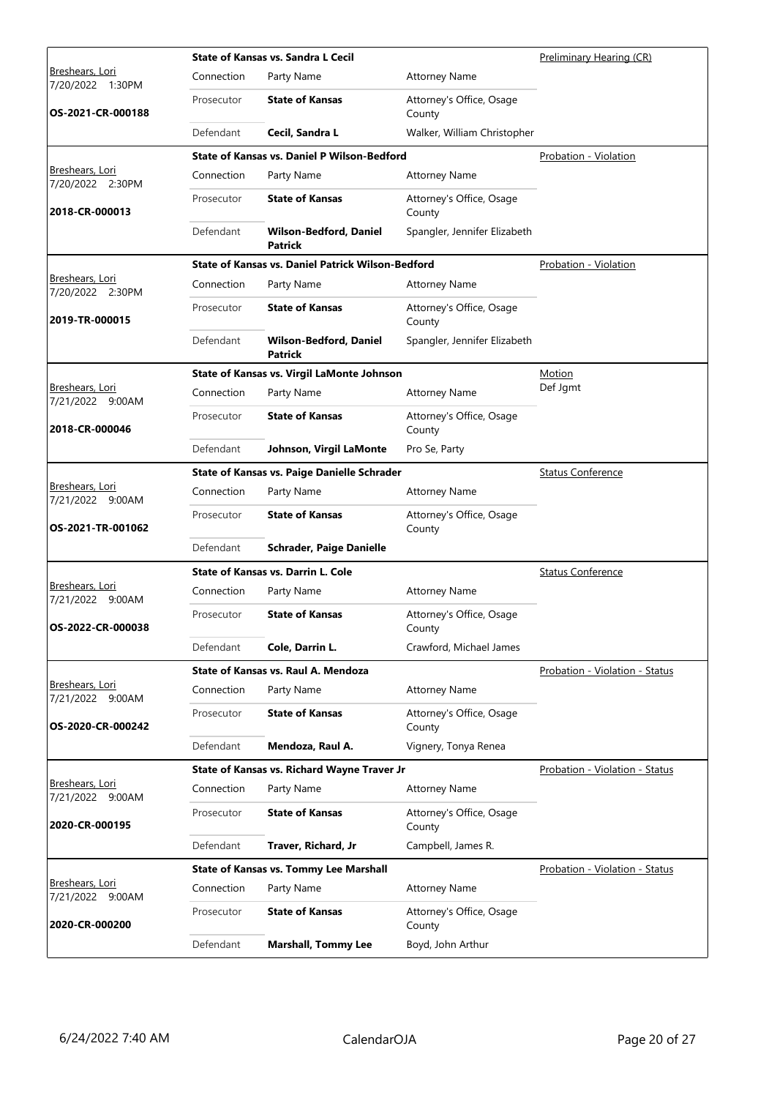|                                            |            | <b>State of Kansas vs. Sandra L Cecil</b>                | Preliminary Hearing (CR)           |                                |
|--------------------------------------------|------------|----------------------------------------------------------|------------------------------------|--------------------------------|
| <b>Breshears, Lori</b><br>7/20/2022 1:30PM | Connection | Party Name                                               | <b>Attorney Name</b>               |                                |
| OS-2021-CR-000188                          | Prosecutor | <b>State of Kansas</b>                                   | Attorney's Office, Osage<br>County |                                |
|                                            | Defendant  | Cecil, Sandra L                                          | Walker, William Christopher        |                                |
|                                            |            | <b>State of Kansas vs. Daniel P Wilson-Bedford</b>       |                                    | Probation - Violation          |
| Breshears, Lori<br>7/20/2022 2:30PM        | Connection | Party Name                                               | <b>Attorney Name</b>               |                                |
| 2018-CR-000013                             | Prosecutor | <b>State of Kansas</b>                                   | Attorney's Office, Osage<br>County |                                |
|                                            | Defendant  | <b>Wilson-Bedford, Daniel</b><br><b>Patrick</b>          | Spangler, Jennifer Elizabeth       |                                |
|                                            |            | <b>State of Kansas vs. Daniel Patrick Wilson-Bedford</b> |                                    | Probation - Violation          |
| Breshears, Lori<br>7/20/2022 2:30PM        | Connection | Party Name                                               | <b>Attorney Name</b>               |                                |
| 2019-TR-000015                             | Prosecutor | <b>State of Kansas</b>                                   | Attorney's Office, Osage<br>County |                                |
|                                            | Defendant  | <b>Wilson-Bedford, Daniel</b><br><b>Patrick</b>          | Spangler, Jennifer Elizabeth       |                                |
|                                            |            | State of Kansas vs. Virgil LaMonte Johnson               |                                    | Motion                         |
| <u>Breshears, Lori</u><br>7/21/2022 9:00AM | Connection | Party Name                                               | <b>Attorney Name</b>               | Def Jgmt                       |
| 2018-CR-000046                             | Prosecutor | <b>State of Kansas</b>                                   | Attorney's Office, Osage<br>County |                                |
|                                            | Defendant  | Johnson, Virgil LaMonte                                  | Pro Se, Party                      |                                |
|                                            |            | <b>State of Kansas vs. Paige Danielle Schrader</b>       |                                    | <b>Status Conference</b>       |
| Breshears, Lori<br>7/21/2022 9:00AM        | Connection | Party Name                                               | <b>Attorney Name</b>               |                                |
| OS-2021-TR-001062                          | Prosecutor | <b>State of Kansas</b>                                   | Attorney's Office, Osage<br>County |                                |
|                                            | Defendant  | <b>Schrader, Paige Danielle</b>                          |                                    |                                |
|                                            |            | <b>State of Kansas vs. Darrin L. Cole</b>                |                                    | <b>Status Conference</b>       |
| Breshears, Lori<br>7/21/2022 9:00AM        | Connection | Party Name                                               | <b>Attorney Name</b>               |                                |
| OS-2022-CR-000038                          | Prosecutor | <b>State of Kansas</b>                                   | Attorney's Office, Osage<br>County |                                |
|                                            | Defendant  | Cole, Darrin L.                                          | Crawford, Michael James            |                                |
|                                            |            | State of Kansas vs. Raul A. Mendoza                      |                                    | Probation - Violation - Status |
| Breshears, Lori<br>7/21/2022 9:00AM        | Connection | Party Name                                               | <b>Attorney Name</b>               |                                |
| OS-2020-CR-000242                          | Prosecutor | <b>State of Kansas</b>                                   | Attorney's Office, Osage<br>County |                                |
|                                            | Defendant  | Mendoza, Raul A.                                         | Vignery, Tonya Renea               |                                |
|                                            |            | State of Kansas vs. Richard Wayne Traver Jr              |                                    | Probation - Violation - Status |
| Breshears, Lori<br>7/21/2022 9:00AM        | Connection | Party Name                                               | <b>Attorney Name</b>               |                                |
| 2020-CR-000195                             | Prosecutor | <b>State of Kansas</b>                                   | Attorney's Office, Osage<br>County |                                |
|                                            | Defendant  | Traver, Richard, Jr                                      | Campbell, James R.                 |                                |
|                                            |            | <b>State of Kansas vs. Tommy Lee Marshall</b>            |                                    | Probation - Violation - Status |
| Breshears, Lori<br>7/21/2022 9:00AM        | Connection | Party Name                                               | <b>Attorney Name</b>               |                                |
| 2020-CR-000200                             | Prosecutor | <b>State of Kansas</b>                                   | Attorney's Office, Osage<br>County |                                |
|                                            | Defendant  | <b>Marshall, Tommy Lee</b>                               | Boyd, John Arthur                  |                                |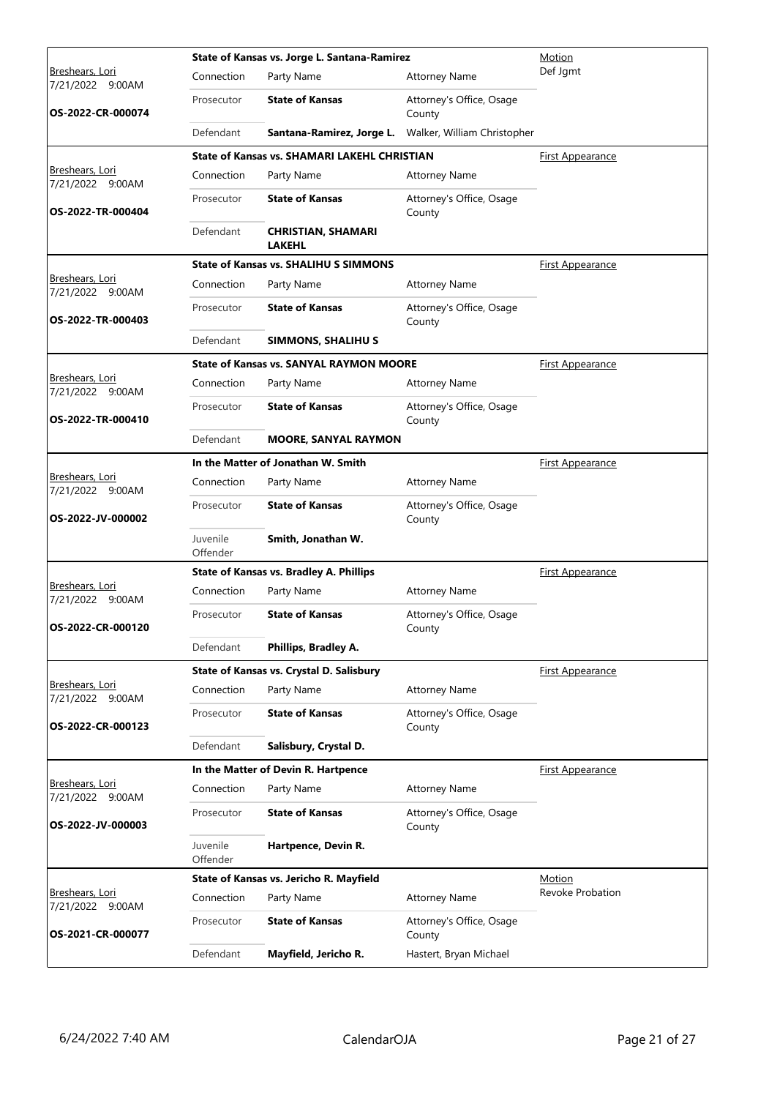|                                            |                      | State of Kansas vs. Jorge L. Santana-Ramirez        | Motion                             |                         |
|--------------------------------------------|----------------------|-----------------------------------------------------|------------------------------------|-------------------------|
| Breshears, Lori<br>7/21/2022 9:00AM        | Connection           | Party Name                                          | <b>Attorney Name</b>               | Def Jgmt                |
| OS-2022-CR-000074                          | Prosecutor           | <b>State of Kansas</b>                              | Attorney's Office, Osage<br>County |                         |
|                                            | Defendant            | Santana-Ramirez, Jorge L.                           | Walker, William Christopher        |                         |
|                                            |                      | <b>State of Kansas vs. SHAMARI LAKEHL CHRISTIAN</b> |                                    | First Appearance        |
| Breshears, Lori<br>7/21/2022 9:00AM        | Connection           | Party Name                                          | <b>Attorney Name</b>               |                         |
| OS-2022-TR-000404                          | Prosecutor           | <b>State of Kansas</b>                              | Attorney's Office, Osage<br>County |                         |
|                                            | Defendant            | <b>CHRISTIAN, SHAMARI</b><br><b>LAKEHL</b>          |                                    |                         |
|                                            |                      | <b>State of Kansas vs. SHALIHU S SIMMONS</b>        |                                    | <b>First Appearance</b> |
| <u>Breshears, Lori</u><br>7/21/2022 9:00AM | Connection           | Party Name                                          | <b>Attorney Name</b>               |                         |
| OS-2022-TR-000403                          | Prosecutor           | <b>State of Kansas</b>                              | Attorney's Office, Osage<br>County |                         |
|                                            | Defendant            | <b>SIMMONS, SHALIHU S</b>                           |                                    |                         |
|                                            |                      | <b>State of Kansas vs. SANYAL RAYMON MOORE</b>      |                                    | <b>First Appearance</b> |
| Breshears, Lori<br>7/21/2022 9:00AM        | Connection           | Party Name                                          | <b>Attorney Name</b>               |                         |
| OS-2022-TR-000410                          | Prosecutor           | <b>State of Kansas</b>                              | Attorney's Office, Osage<br>County |                         |
|                                            | Defendant            | <b>MOORE, SANYAL RAYMON</b>                         |                                    |                         |
|                                            |                      | In the Matter of Jonathan W. Smith                  |                                    | <u>First Appearance</u> |
| Breshears, Lori<br>7/21/2022 9:00AM        | Connection           | Party Name                                          | <b>Attorney Name</b>               |                         |
| OS-2022-JV-000002                          | Prosecutor           | <b>State of Kansas</b>                              | Attorney's Office, Osage<br>County |                         |
|                                            | Juvenile<br>Offender | Smith, Jonathan W.                                  |                                    |                         |
|                                            |                      | <b>State of Kansas vs. Bradley A. Phillips</b>      |                                    | <b>First Appearance</b> |
| Breshears, Lori<br>7/21/2022 9:00AM        | Connection           | Party Name                                          | <b>Attorney Name</b>               |                         |
| OS-2022-CR-000120                          | Prosecutor           | <b>State of Kansas</b>                              | Attorney's Office, Osage<br>County |                         |
|                                            | Defendant            | Phillips, Bradley A.                                |                                    |                         |
|                                            |                      | State of Kansas vs. Crystal D. Salisbury            |                                    | First Appearance        |
| Breshears, Lori<br>7/21/2022 9:00AM        | Connection           | Party Name                                          | <b>Attorney Name</b>               |                         |
| OS-2022-CR-000123                          | Prosecutor           | <b>State of Kansas</b>                              | Attorney's Office, Osage<br>County |                         |
|                                            | Defendant            | Salisbury, Crystal D.                               |                                    |                         |
|                                            |                      | In the Matter of Devin R. Hartpence                 |                                    | <u>First Appearance</u> |
| Breshears, Lori<br>7/21/2022 9:00AM        | Connection           | Party Name                                          | <b>Attorney Name</b>               |                         |
| OS-2022-JV-000003                          | Prosecutor           | <b>State of Kansas</b>                              | Attorney's Office, Osage<br>County |                         |
|                                            | Juvenile<br>Offender | Hartpence, Devin R.                                 |                                    |                         |
|                                            |                      | State of Kansas vs. Jericho R. Mayfield             |                                    | <b>Motion</b>           |
| Breshears, Lori<br>7/21/2022 9:00AM        | Connection           | Party Name                                          | <b>Attorney Name</b>               | Revoke Probation        |
| OS-2021-CR-000077                          | Prosecutor           | <b>State of Kansas</b>                              | Attorney's Office, Osage<br>County |                         |
|                                            | Defendant            | Mayfield, Jericho R.                                | Hastert, Bryan Michael             |                         |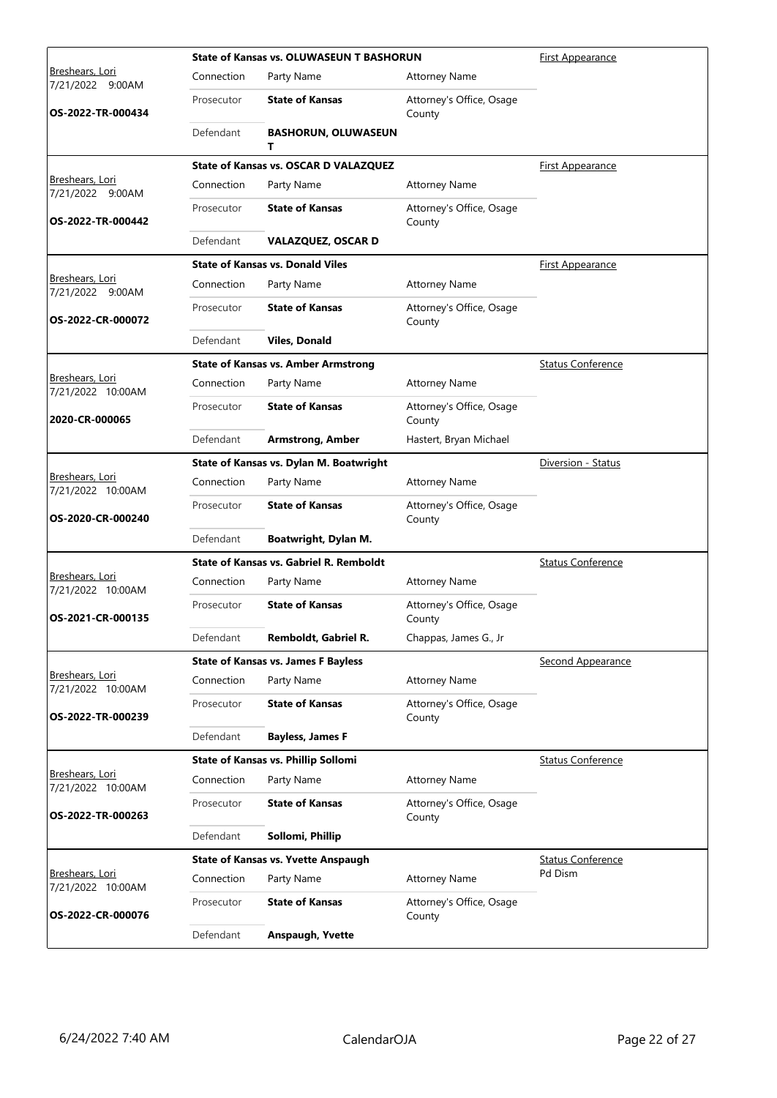|                                      |            | <b>State of Kansas vs. OLUWASEUN T BASHORUN</b> | <b>First Appearance</b>            |                          |
|--------------------------------------|------------|-------------------------------------------------|------------------------------------|--------------------------|
| Breshears, Lori<br>7/21/2022 9:00AM  | Connection | Party Name                                      | <b>Attorney Name</b>               |                          |
| OS-2022-TR-000434                    | Prosecutor | <b>State of Kansas</b>                          | Attorney's Office, Osage<br>County |                          |
|                                      | Defendant  | <b>BASHORUN, OLUWASEUN</b><br>т                 |                                    |                          |
|                                      |            | State of Kansas vs. OSCAR D VALAZQUEZ           |                                    | <b>First Appearance</b>  |
| Breshears, Lori<br>7/21/2022 9:00AM  | Connection | Party Name                                      | <b>Attorney Name</b>               |                          |
| OS-2022-TR-000442                    | Prosecutor | <b>State of Kansas</b>                          | Attorney's Office, Osage<br>County |                          |
|                                      | Defendant  | <b>VALAZQUEZ, OSCAR D</b>                       |                                    |                          |
|                                      |            | <b>State of Kansas vs. Donald Viles</b>         |                                    | <u>First Appearance</u>  |
| Breshears, Lori<br>7/21/2022 9:00AM  | Connection | Party Name                                      | <b>Attorney Name</b>               |                          |
| OS-2022-CR-000072                    | Prosecutor | <b>State of Kansas</b>                          | Attorney's Office, Osage<br>County |                          |
|                                      | Defendant  | <b>Viles, Donald</b>                            |                                    |                          |
|                                      |            | <b>State of Kansas vs. Amber Armstrong</b>      |                                    | <b>Status Conference</b> |
| Breshears, Lori<br>7/21/2022 10:00AM | Connection | Party Name                                      | <b>Attorney Name</b>               |                          |
| 2020-CR-000065                       | Prosecutor | <b>State of Kansas</b>                          | Attorney's Office, Osage<br>County |                          |
|                                      | Defendant  | <b>Armstrong, Amber</b>                         | Hastert, Bryan Michael             |                          |
|                                      |            | State of Kansas vs. Dylan M. Boatwright         |                                    | Diversion - Status       |
| Breshears, Lori<br>7/21/2022 10:00AM | Connection | Party Name                                      | <b>Attorney Name</b>               |                          |
| OS-2020-CR-000240                    | Prosecutor | <b>State of Kansas</b>                          | Attorney's Office, Osage<br>County |                          |
|                                      | Defendant  | Boatwright, Dylan M.                            |                                    |                          |
|                                      |            | <b>State of Kansas vs. Gabriel R. Remboldt</b>  |                                    | <b>Status Conference</b> |
| Breshears, Lori<br>7/21/2022 10:00AM | Connection | Party Name                                      | <b>Attorney Name</b>               |                          |
| OS-2021-CR-000135                    | Prosecutor | <b>State of Kansas</b>                          | Attorney's Office, Osage<br>County |                          |
|                                      | Defendant  | Remboldt, Gabriel R.                            | Chappas, James G., Jr              |                          |
|                                      |            | <b>State of Kansas vs. James F Bayless</b>      |                                    | <b>Second Appearance</b> |
| Breshears, Lori<br>7/21/2022 10:00AM | Connection | Party Name                                      | <b>Attorney Name</b>               |                          |
| OS-2022-TR-000239                    | Prosecutor | <b>State of Kansas</b>                          | Attorney's Office, Osage<br>County |                          |
|                                      | Defendant  | <b>Bayless, James F</b>                         |                                    |                          |
|                                      |            | State of Kansas vs. Phillip Sollomi             |                                    | <b>Status Conference</b> |
| Breshears, Lori<br>7/21/2022 10:00AM | Connection | Party Name                                      | <b>Attorney Name</b>               |                          |
| OS-2022-TR-000263                    | Prosecutor | <b>State of Kansas</b>                          | Attorney's Office, Osage<br>County |                          |
|                                      | Defendant  | Sollomi, Phillip                                |                                    |                          |
|                                      |            | <b>State of Kansas vs. Yvette Anspaugh</b>      |                                    | <b>Status Conference</b> |
| Breshears, Lori<br>7/21/2022 10:00AM | Connection | Party Name                                      | <b>Attorney Name</b>               | Pd Dism                  |
| OS-2022-CR-000076                    | Prosecutor | <b>State of Kansas</b>                          | Attorney's Office, Osage<br>County |                          |
|                                      | Defendant  | <b>Anspaugh, Yvette</b>                         |                                    |                          |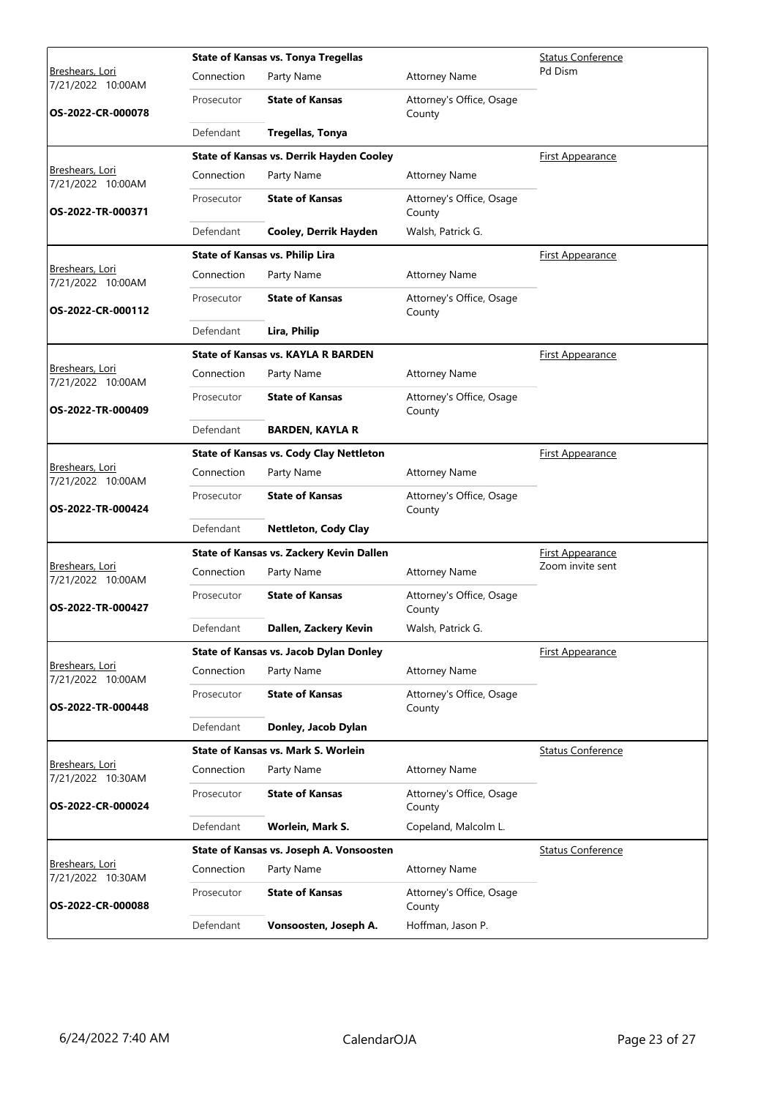|                                             |            | <b>State of Kansas vs. Tonya Tregellas</b>     | <b>Status Conference</b>           |                          |
|---------------------------------------------|------------|------------------------------------------------|------------------------------------|--------------------------|
| <u>Breshears, Lori</u><br>7/21/2022 10:00AM | Connection | Party Name                                     | <b>Attorney Name</b>               | Pd Dism                  |
| OS-2022-CR-000078                           | Prosecutor | <b>State of Kansas</b>                         | Attorney's Office, Osage<br>County |                          |
|                                             | Defendant  | <b>Tregellas, Tonya</b>                        |                                    |                          |
|                                             |            | State of Kansas vs. Derrik Hayden Cooley       |                                    | <b>First Appearance</b>  |
| Breshears, Lori<br>7/21/2022 10:00AM        | Connection | Party Name                                     | <b>Attorney Name</b>               |                          |
| OS-2022-TR-000371                           | Prosecutor | <b>State of Kansas</b>                         | Attorney's Office, Osage<br>County |                          |
|                                             | Defendant  | Cooley, Derrik Hayden                          | Walsh, Patrick G.                  |                          |
|                                             |            | <b>State of Kansas vs. Philip Lira</b>         |                                    | <b>First Appearance</b>  |
| Breshears, Lori<br>7/21/2022 10:00AM        | Connection | Party Name                                     | <b>Attorney Name</b>               |                          |
| OS-2022-CR-000112                           | Prosecutor | <b>State of Kansas</b>                         | Attorney's Office, Osage<br>County |                          |
|                                             | Defendant  | Lira, Philip                                   |                                    |                          |
|                                             |            | <b>State of Kansas vs. KAYLA R BARDEN</b>      |                                    | First Appearance         |
| <u>Breshears, Lori</u><br>7/21/2022 10:00AM | Connection | Party Name                                     | <b>Attorney Name</b>               |                          |
| OS-2022-TR-000409                           | Prosecutor | <b>State of Kansas</b>                         | Attorney's Office, Osage<br>County |                          |
|                                             | Defendant  | <b>BARDEN, KAYLA R</b>                         |                                    |                          |
|                                             |            | <b>State of Kansas vs. Cody Clay Nettleton</b> |                                    | <b>First Appearance</b>  |
| Breshears, Lori<br>7/21/2022 10:00AM        | Connection | Party Name                                     | <b>Attorney Name</b>               |                          |
| OS-2022-TR-000424                           | Prosecutor | <b>State of Kansas</b>                         | Attorney's Office, Osage<br>County |                          |
|                                             | Defendant  | <b>Nettleton, Cody Clay</b>                    |                                    |                          |
|                                             |            | State of Kansas vs. Zackery Kevin Dallen       |                                    | <b>First Appearance</b>  |
| Breshears, Lori<br>7/21/2022 10:00AM        | Connection | Party Name                                     | <b>Attorney Name</b>               | Zoom invite sent         |
| OS-2022-TR-000427                           | Prosecutor | <b>State of Kansas</b>                         | Attorney's Office, Osage<br>County |                          |
|                                             | Defendant  | Dallen, Zackery Kevin                          | Walsh, Patrick G.                  |                          |
|                                             |            | <b>State of Kansas vs. Jacob Dylan Donley</b>  |                                    | First Appearance         |
| Breshears, Lori<br>7/21/2022 10:00AM        | Connection | Party Name                                     | <b>Attorney Name</b>               |                          |
| OS-2022-TR-000448                           | Prosecutor | <b>State of Kansas</b>                         | Attorney's Office, Osage<br>County |                          |
|                                             | Defendant  | Donley, Jacob Dylan                            |                                    |                          |
|                                             |            | State of Kansas vs. Mark S. Worlein            |                                    | <b>Status Conference</b> |
| Breshears, Lori<br>7/21/2022 10:30AM        | Connection | Party Name                                     | <b>Attorney Name</b>               |                          |
| OS-2022-CR-000024                           | Prosecutor | <b>State of Kansas</b>                         | Attorney's Office, Osage<br>County |                          |
|                                             | Defendant  | Worlein, Mark S.                               | Copeland, Malcolm L.               |                          |
|                                             |            | State of Kansas vs. Joseph A. Vonsoosten       |                                    | <b>Status Conference</b> |
| <u>Breshears, Lori</u><br>7/21/2022 10:30AM | Connection | Party Name                                     | <b>Attorney Name</b>               |                          |
| OS-2022-CR-000088                           | Prosecutor | <b>State of Kansas</b>                         | Attorney's Office, Osage<br>County |                          |
|                                             | Defendant  | Vonsoosten, Joseph A.                          | Hoffman, Jason P.                  |                          |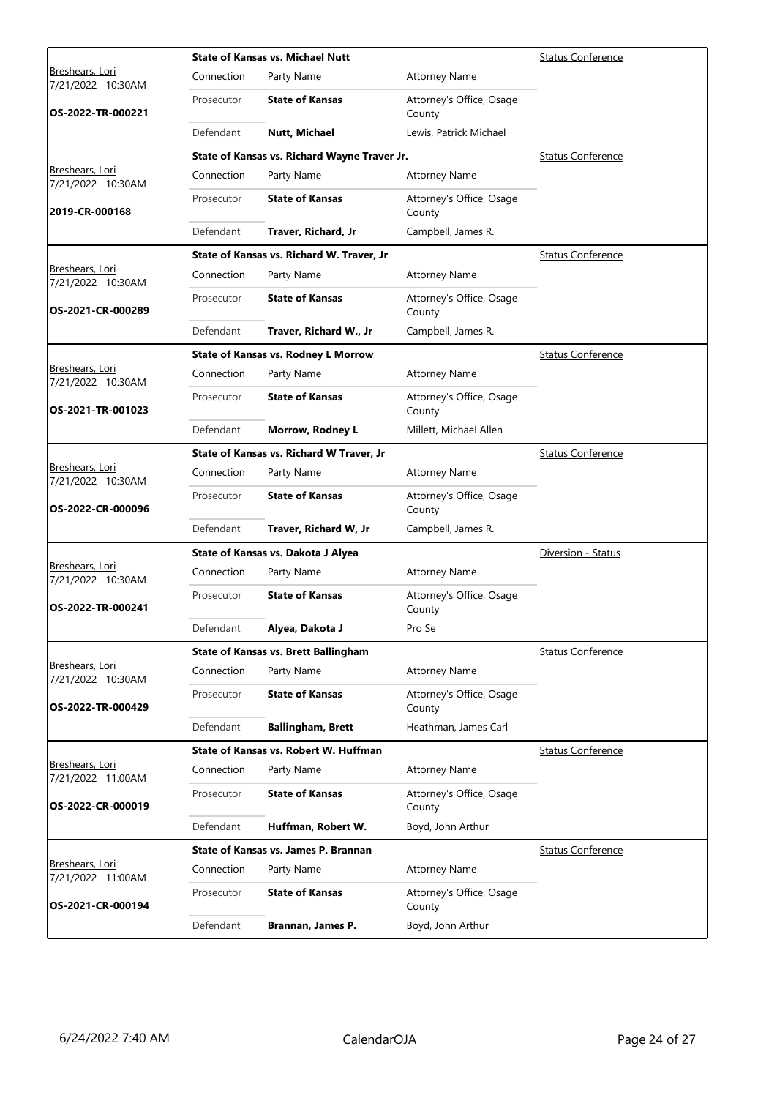|                                             |            | <b>State of Kansas vs. Michael Nutt</b>      | <b>Status Conference</b>           |                          |
|---------------------------------------------|------------|----------------------------------------------|------------------------------------|--------------------------|
| <u>Breshears, Lori</u><br>7/21/2022 10:30AM | Connection | Party Name                                   | <b>Attorney Name</b>               |                          |
| OS-2022-TR-000221                           | Prosecutor | <b>State of Kansas</b>                       | Attorney's Office, Osage<br>County |                          |
|                                             | Defendant  | <b>Nutt, Michael</b>                         | Lewis, Patrick Michael             |                          |
|                                             |            | State of Kansas vs. Richard Wayne Traver Jr. |                                    | <b>Status Conference</b> |
| Breshears, Lori<br>7/21/2022 10:30AM        | Connection | Party Name                                   | <b>Attorney Name</b>               |                          |
| 2019-CR-000168                              | Prosecutor | <b>State of Kansas</b>                       | Attorney's Office, Osage<br>County |                          |
|                                             | Defendant  | Traver, Richard, Jr                          | Campbell, James R.                 |                          |
|                                             |            | State of Kansas vs. Richard W. Traver, Jr    |                                    | <b>Status Conference</b> |
| Breshears, Lori<br>7/21/2022 10:30AM        | Connection | Party Name                                   | <b>Attorney Name</b>               |                          |
| OS-2021-CR-000289                           | Prosecutor | <b>State of Kansas</b>                       | Attorney's Office, Osage<br>County |                          |
|                                             | Defendant  | Traver, Richard W., Jr                       | Campbell, James R.                 |                          |
|                                             |            | <b>State of Kansas vs. Rodney L Morrow</b>   |                                    | <b>Status Conference</b> |
| <u>Breshears, Lori</u><br>7/21/2022 10:30AM | Connection | Party Name                                   | <b>Attorney Name</b>               |                          |
| OS-2021-TR-001023                           | Prosecutor | <b>State of Kansas</b>                       | Attorney's Office, Osage<br>County |                          |
|                                             | Defendant  | Morrow, Rodney L                             | Millett, Michael Allen             |                          |
|                                             |            | State of Kansas vs. Richard W Traver, Jr     |                                    | <b>Status Conference</b> |
| Breshears, Lori<br>7/21/2022 10:30AM        | Connection | Party Name                                   | <b>Attorney Name</b>               |                          |
| OS-2022-CR-000096                           | Prosecutor | <b>State of Kansas</b>                       | Attorney's Office, Osage<br>County |                          |
|                                             | Defendant  | Traver, Richard W, Jr                        | Campbell, James R.                 |                          |
|                                             |            | State of Kansas vs. Dakota J Alyea           |                                    | Diversion - Status       |
| Breshears, Lori<br>7/21/2022 10:30AM        | Connection | Party Name                                   | <b>Attorney Name</b>               |                          |
| OS-2022-TR-000241                           | Prosecutor | <b>State of Kansas</b>                       | Attorney's Office, Osage<br>County |                          |
|                                             | Defendant  | Alyea, Dakota J                              | Pro Se                             |                          |
|                                             |            | <b>State of Kansas vs. Brett Ballingham</b>  |                                    | <b>Status Conference</b> |
| Breshears, Lori<br>7/21/2022 10:30AM        | Connection | Party Name                                   | <b>Attorney Name</b>               |                          |
| OS-2022-TR-000429                           | Prosecutor | <b>State of Kansas</b>                       | Attorney's Office, Osage<br>County |                          |
|                                             | Defendant  | <b>Ballingham, Brett</b>                     | Heathman, James Carl               |                          |
|                                             |            | State of Kansas vs. Robert W. Huffman        |                                    | <b>Status Conference</b> |
| Breshears, Lori<br>7/21/2022 11:00AM        | Connection | Party Name                                   | <b>Attorney Name</b>               |                          |
| OS-2022-CR-000019                           | Prosecutor | <b>State of Kansas</b>                       | Attorney's Office, Osage<br>County |                          |
|                                             | Defendant  | Huffman, Robert W.                           | Boyd, John Arthur                  |                          |
|                                             |            | State of Kansas vs. James P. Brannan         |                                    | <b>Status Conference</b> |
| <u>Breshears, Lori</u><br>7/21/2022 11:00AM | Connection | Party Name                                   | <b>Attorney Name</b>               |                          |
| OS-2021-CR-000194                           | Prosecutor | <b>State of Kansas</b>                       | Attorney's Office, Osage<br>County |                          |
|                                             | Defendant  | Brannan, James P.                            | Boyd, John Arthur                  |                          |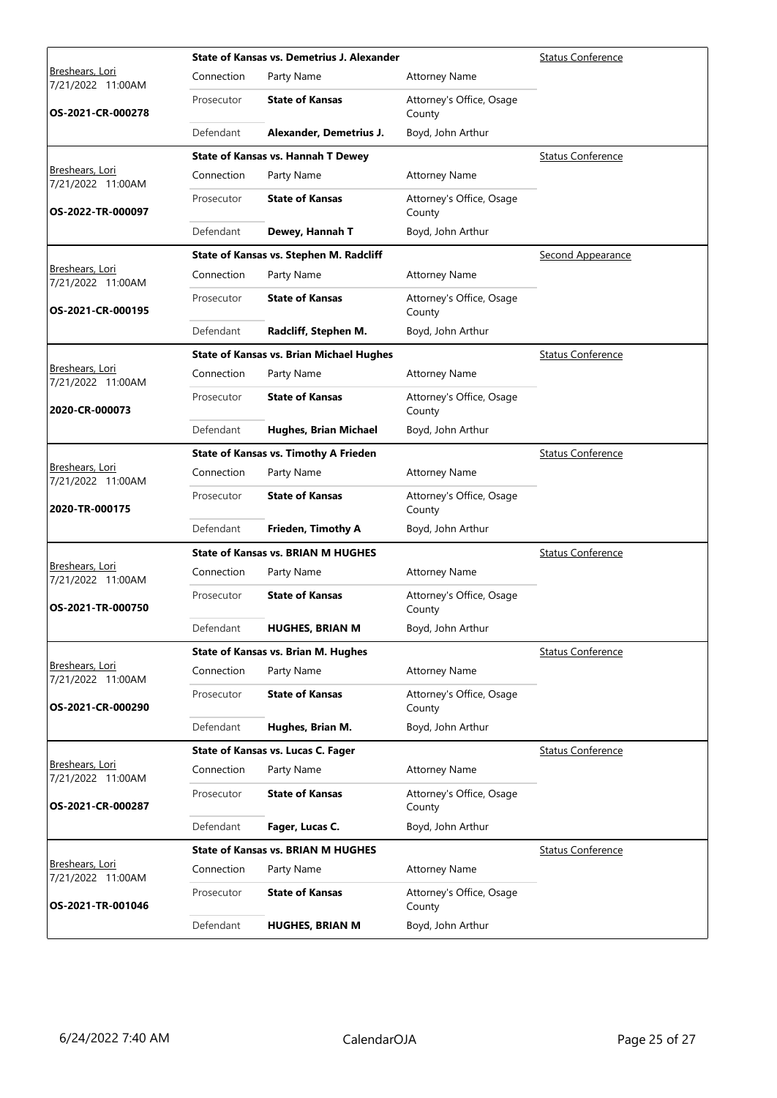|                                             |            | State of Kansas vs. Demetrius J. Alexander      | <b>Status Conference</b>           |                          |
|---------------------------------------------|------------|-------------------------------------------------|------------------------------------|--------------------------|
| <u>Breshears, Lori</u><br>7/21/2022 11:00AM | Connection | Party Name                                      | <b>Attorney Name</b>               |                          |
| OS-2021-CR-000278                           | Prosecutor | <b>State of Kansas</b>                          | Attorney's Office, Osage<br>County |                          |
|                                             | Defendant  | Alexander, Demetrius J.                         | Boyd, John Arthur                  |                          |
|                                             |            | <b>State of Kansas vs. Hannah T Dewey</b>       | <b>Status Conference</b>           |                          |
| Breshears, Lori<br>7/21/2022 11:00AM        | Connection | Party Name                                      | <b>Attorney Name</b>               |                          |
| OS-2022-TR-000097                           | Prosecutor | <b>State of Kansas</b>                          | Attorney's Office, Osage<br>County |                          |
|                                             | Defendant  | Dewey, Hannah T                                 | Boyd, John Arthur                  |                          |
|                                             |            | State of Kansas vs. Stephen M. Radcliff         | <b>Second Appearance</b>           |                          |
| Breshears, Lori<br>7/21/2022 11:00AM        | Connection | Party Name                                      | <b>Attorney Name</b>               |                          |
| OS-2021-CR-000195                           | Prosecutor | <b>State of Kansas</b>                          | Attorney's Office, Osage<br>County |                          |
|                                             | Defendant  | Radcliff, Stephen M.                            | Boyd, John Arthur                  |                          |
|                                             |            | <b>State of Kansas vs. Brian Michael Hughes</b> | <b>Status Conference</b>           |                          |
| Breshears, Lori<br>7/21/2022 11:00AM        | Connection | Party Name                                      | <b>Attorney Name</b>               |                          |
| 2020-CR-000073                              | Prosecutor | <b>State of Kansas</b>                          | Attorney's Office, Osage<br>County |                          |
|                                             | Defendant  | Hughes, Brian Michael                           | Boyd, John Arthur                  |                          |
|                                             |            | <b>State of Kansas vs. Timothy A Frieden</b>    | <b>Status Conference</b>           |                          |
| Breshears, Lori<br>7/21/2022 11:00AM        | Connection | Party Name                                      | <b>Attorney Name</b>               |                          |
| 2020-TR-000175                              | Prosecutor | <b>State of Kansas</b>                          | Attorney's Office, Osage<br>County |                          |
|                                             | Defendant  | Frieden, Timothy A                              | Boyd, John Arthur                  |                          |
|                                             |            | <b>State of Kansas vs. BRIAN M HUGHES</b>       | <b>Status Conference</b>           |                          |
| Breshears, Lori<br>7/21/2022 11:00AM        | Connection | Party Name                                      | <b>Attorney Name</b>               |                          |
| OS-2021-TR-000750                           | Prosecutor | <b>State of Kansas</b>                          | Attorney's Office, Osage<br>County |                          |
|                                             | Defendant  | <b>HUGHES, BRIAN M</b>                          | Boyd, John Arthur                  |                          |
|                                             |            | <b>State of Kansas vs. Brian M. Hughes</b>      |                                    | <b>Status Conference</b> |
| Breshears, Lori<br>7/21/2022 11:00AM        | Connection | Party Name                                      | <b>Attorney Name</b>               |                          |
| OS-2021-CR-000290                           | Prosecutor | <b>State of Kansas</b>                          | Attorney's Office, Osage<br>County |                          |
|                                             | Defendant  | Hughes, Brian M.                                | Boyd, John Arthur                  |                          |
|                                             |            | State of Kansas vs. Lucas C. Fager              | <b>Status Conference</b>           |                          |
| Breshears, Lori<br>7/21/2022 11:00AM        | Connection | Party Name                                      | <b>Attorney Name</b>               |                          |
| OS-2021-CR-000287                           | Prosecutor | <b>State of Kansas</b>                          | Attorney's Office, Osage<br>County |                          |
|                                             | Defendant  | Fager, Lucas C.                                 | Boyd, John Arthur                  |                          |
| Breshears, Lori<br>7/21/2022 11:00AM        |            | <b>State of Kansas vs. BRIAN M HUGHES</b>       | <b>Status Conference</b>           |                          |
|                                             | Connection | Party Name                                      | <b>Attorney Name</b>               |                          |
| OS-2021-TR-001046                           | Prosecutor | <b>State of Kansas</b>                          | Attorney's Office, Osage<br>County |                          |
|                                             | Defendant  | <b>HUGHES, BRIAN M</b>                          | Boyd, John Arthur                  |                          |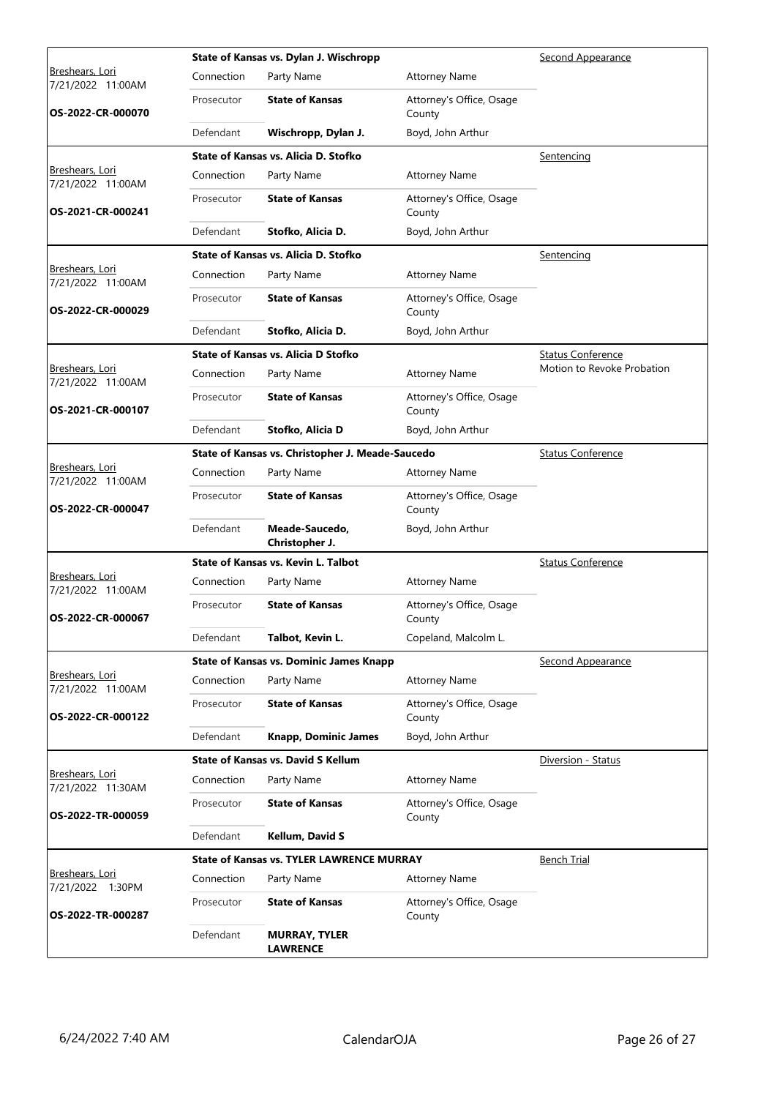|                                             |            | State of Kansas vs. Dylan J. Wischropp           | Second Appearance                  |                            |
|---------------------------------------------|------------|--------------------------------------------------|------------------------------------|----------------------------|
| <u>Breshears, Lori</u><br>7/21/2022 11:00AM | Connection | Party Name                                       | <b>Attorney Name</b>               |                            |
| OS-2022-CR-000070                           | Prosecutor | <b>State of Kansas</b>                           | Attorney's Office, Osage<br>County |                            |
|                                             | Defendant  | Wischropp, Dylan J.                              | Boyd, John Arthur                  |                            |
|                                             |            | State of Kansas vs. Alicia D. Stofko             | Sentencing                         |                            |
| Breshears, Lori<br>7/21/2022 11:00AM        | Connection | Party Name                                       | <b>Attorney Name</b>               |                            |
| OS-2021-CR-000241                           | Prosecutor | <b>State of Kansas</b>                           | Attorney's Office, Osage<br>County |                            |
|                                             | Defendant  | Stofko, Alicia D.                                | Boyd, John Arthur                  |                            |
|                                             |            | State of Kansas vs. Alicia D. Stofko             | Sentencing                         |                            |
| Breshears, Lori<br>7/21/2022 11:00AM        | Connection | Party Name                                       | <b>Attorney Name</b>               |                            |
| OS-2022-CR-000029                           | Prosecutor | <b>State of Kansas</b>                           | Attorney's Office, Osage<br>County |                            |
|                                             | Defendant  | Stofko, Alicia D.                                | Boyd, John Arthur                  |                            |
|                                             |            | State of Kansas vs. Alicia D Stofko              | <b>Status Conference</b>           |                            |
| <u>Breshears, Lori</u><br>7/21/2022 11:00AM | Connection | Party Name                                       | <b>Attorney Name</b>               | Motion to Revoke Probation |
| OS-2021-CR-000107                           | Prosecutor | <b>State of Kansas</b>                           | Attorney's Office, Osage<br>County |                            |
|                                             | Defendant  | Stofko, Alicia D                                 | Boyd, John Arthur                  |                            |
|                                             |            | State of Kansas vs. Christopher J. Meade-Saucedo | <b>Status Conference</b>           |                            |
| Breshears, Lori<br>7/21/2022 11:00AM        | Connection | Party Name                                       | <b>Attorney Name</b>               |                            |
| OS-2022-CR-000047                           | Prosecutor | <b>State of Kansas</b>                           | Attorney's Office, Osage<br>County |                            |
|                                             | Defendant  | Meade-Saucedo,<br>Christopher J.                 | Boyd, John Arthur                  |                            |
|                                             |            | State of Kansas vs. Kevin L. Talbot              |                                    | <b>Status Conference</b>   |
| Breshears, Lori<br>7/21/2022 11:00AM        | Connection | Party Name                                       | <b>Attorney Name</b>               |                            |
| OS-2022-CR-000067                           | Prosecutor | <b>State of Kansas</b>                           | Attorney's Office, Osage<br>County |                            |
|                                             | Defendant  | Talbot, Kevin L.                                 | Copeland, Malcolm L.               |                            |
|                                             |            | <b>State of Kansas vs. Dominic James Knapp</b>   | Second Appearance                  |                            |
| Breshears, Lori<br>7/21/2022 11:00AM        | Connection | Party Name                                       | <b>Attorney Name</b>               |                            |
| OS-2022-CR-000122                           | Prosecutor | <b>State of Kansas</b>                           | Attorney's Office, Osage<br>County |                            |
|                                             | Defendant  | <b>Knapp, Dominic James</b>                      | Boyd, John Arthur                  |                            |
|                                             |            | <b>State of Kansas vs. David S Kellum</b>        | Diversion - Status                 |                            |
| Breshears, Lori<br>7/21/2022 11:30AM        | Connection | Party Name                                       | <b>Attorney Name</b>               |                            |
| OS-2022-TR-000059                           | Prosecutor | <b>State of Kansas</b>                           | Attorney's Office, Osage<br>County |                            |
|                                             | Defendant  | Kellum, David S                                  |                                    |                            |
|                                             |            | <b>State of Kansas vs. TYLER LAWRENCE MURRAY</b> | <b>Bench Trial</b>                 |                            |
| Breshears, Lori<br>7/21/2022 1:30PM         | Connection | Party Name                                       | <b>Attorney Name</b>               |                            |
| OS-2022-TR-000287                           | Prosecutor | <b>State of Kansas</b>                           | Attorney's Office, Osage<br>County |                            |
|                                             | Defendant  | <b>MURRAY, TYLER</b><br><b>LAWRENCE</b>          |                                    |                            |